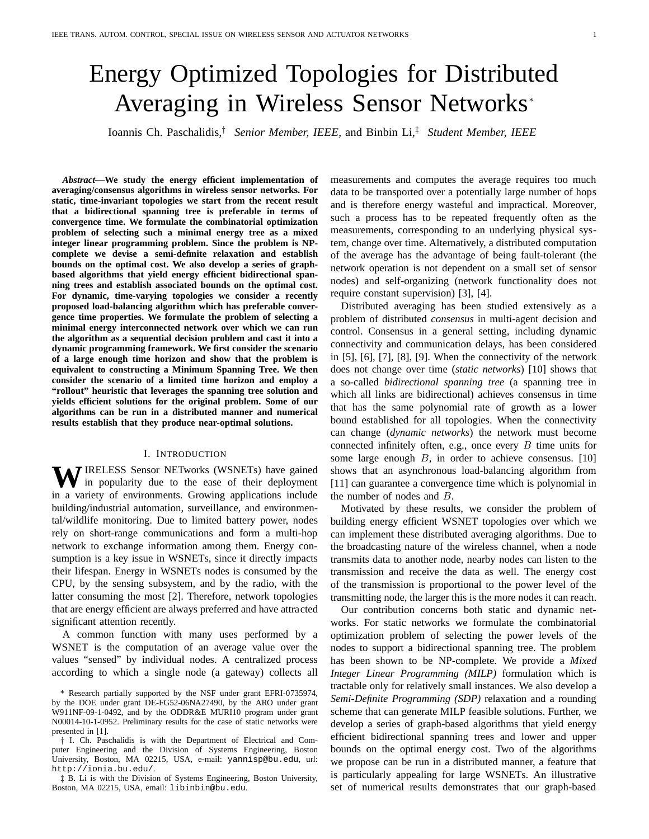# Energy Optimized Topologies for Distributed Averaging in Wireless Sensor Networks<sup>∗</sup>

Ioannis Ch. Paschalidis,† *Senior Member, IEEE,* and Binbin Li,‡ *Student Member, IEEE*

*Abstract***—We study the energy efficient implementation of averaging/consensus algorithms in wireless sensor networks. For static, time-invariant topologies we start from the recent result that a bidirectional spanning tree is preferable in terms of convergence time. We formulate the combinatorial optimization problem of selecting such a minimal energy tree as a mixed integer linear programming problem. Since the problem is NPcomplete we devise a semi-definite relaxation and establish bounds on the optimal cost. We also develop a series of graphbased algorithms that yield energy efficient bidirectional spanning trees and establish associated bounds on the optimal cost. For dynamic, time-varying topologies we consider a recently proposed load-balancing algorithm which has preferable convergence time properties. We formulate the problem of selecting a minimal energy interconnected network over which we can run the algorithm as a sequential decision problem and cast it into a dynamic programming framework. We first consider the scenario of a large enough time horizon and show that the problem is equivalent to constructing a Minimum Spanning Tree. We then consider the scenario of a limited time horizon and employ a "rollout" heuristic that leverages the spanning tree solution and yields efficient solutions for the original problem. Some of our algorithms can be run in a distributed manner and numerical results establish that they produce near-optimal solutions.**

## I. INTRODUCTION

**W** IRELESS Sensor NETworks (WSNETs) have gained in popularity due to the ease of their deployment in a variety of environments. Growing applications include building/industrial automation, surveillance, and environmental/wildlife monitoring. Due to limited battery power, nodes rely on short-range communications and form a multi-hop network to exchange information among them. Energy consumption is a key issue in WSNETs, since it directly impacts their lifespan. Energy in WSNETs nodes is consumed by the CPU, by the sensing subsystem, and by the radio, with the latter consuming the most [2]. Therefore, network topologies that are energy efficient are always preferred and have attracted significant attention recently.

A common function with many uses performed by a WSNET is the computation of an average value over the values "sensed" by individual nodes. A centralized process according to which a single node (a gateway) collects all

‡ B. Li is with the Division of Systems Engineering, Boston University, Boston, MA 02215, USA, email: libinbin@bu.edu.

measurements and computes the average requires too much data to be transported over a potentially large number of hops and is therefore energy wasteful and impractical. Moreover, such a process has to be repeated frequently often as the measurements, corresponding to an underlying physical system, change over time. Alternatively, a distributed computation of the average has the advantage of being fault-tolerant (the network operation is not dependent on a small set of sensor nodes) and self-organizing (network functionality does not require constant supervision) [3], [4].

Distributed averaging has been studied extensively as a problem of distributed *consensus* in multi-agent decision and control. Consensus in a general setting, including dynamic connectivity and communication delays, has been considered in [5], [6], [7], [8], [9]. When the connectivity of the network does not change over time (*static networks*) [10] shows that a so-called *bidirectional spanning tree* (a spanning tree in which all links are bidirectional) achieves consensus in time that has the same polynomial rate of growth as a lower bound established for all topologies. When the connectivity can change (*dynamic networks*) the network must become connected infinitely often, e.g., once every B time units for some large enough  $B$ , in order to achieve consensus. [10] shows that an asynchronous load-balancing algorithm from [11] can guarantee a convergence time which is polynomial in the number of nodes and B.

Motivated by these results, we consider the problem of building energy efficient WSNET topologies over which we can implement these distributed averaging algorithms. Due to the broadcasting nature of the wireless channel, when a node transmits data to another node, nearby nodes can listen to the transmission and receive the data as well. The energy cost of the transmission is proportional to the power level of the transmitting node, the larger this is the more nodes it can reach.

Our contribution concerns both static and dynamic networks. For static networks we formulate the combinatorial optimization problem of selecting the power levels of the nodes to support a bidirectional spanning tree. The problem has been shown to be NP-complete. We provide a *Mixed Integer Linear Programming (MILP)* formulation which is tractable only for relatively small instances. We also develop a *Semi-Definite Programming (SDP)* relaxation and a rounding scheme that can generate MILP feasible solutions. Further, we develop a series of graph-based algorithms that yield energy efficient bidirectional spanning trees and lower and upper bounds on the optimal energy cost. Two of the algorithms we propose can be run in a distributed manner, a feature that is particularly appealing for large WSNETs. An illustrative set of numerical results demonstrates that our graph-based

<sup>\*</sup> Research partially supported by the NSF under grant EFRI-0735974, by the DOE under grant DE-FG52-06NA27490, by the ARO under grant W911NF-09-1-0492, and by the ODDR&E MURI10 program under grant N00014-10-1-0952. Preliminary results for the case of static networks were presented in [1].

<sup>†</sup> I. Ch. Paschalidis is with the Department of Electrical and Computer Engineering and the Division of Systems Engineering, Boston University, Boston, MA 02215, USA, e-mail: yannisp@bu.edu, url: http://ionia.bu.edu/.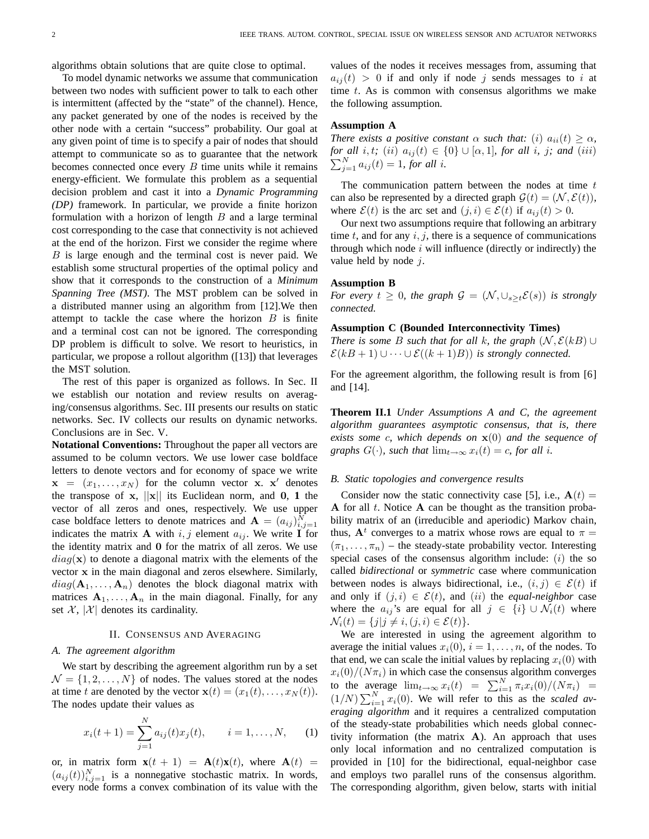algorithms obtain solutions that are quite close to optimal.

To model dynamic networks we assume that communication between two nodes with sufficient power to talk to each other is intermittent (affected by the "state" of the channel). Hence, any packet generated by one of the nodes is received by the other node with a certain "success" probability. Our goal at any given point of time is to specify a pair of nodes that should attempt to communicate so as to guarantee that the network becomes connected once every  $B$  time units while it remains energy-efficient. We formulate this problem as a sequential decision problem and cast it into a *Dynamic Programming (DP)* framework. In particular, we provide a finite horizon formulation with a horizon of length  $B$  and a large terminal cost corresponding to the case that connectivity is not achieved at the end of the horizon. First we consider the regime where  $B$  is large enough and the terminal cost is never paid. We establish some structural properties of the optimal policy and show that it corresponds to the construction of a *Minimum Spanning Tree (MST)*. The MST problem can be solved in a distributed manner using an algorithm from [12].We then attempt to tackle the case where the horizon  $B$  is finite and a terminal cost can not be ignored. The corresponding DP problem is difficult to solve. We resort to heuristics, in particular, we propose a rollout algorithm ([13]) that leverages the MST solution.

The rest of this paper is organized as follows. In Sec. II we establish our notation and review results on averaging/consensus algorithms. Sec. III presents our results on static networks. Sec. IV collects our results on dynamic networks. Conclusions are in Sec. V.

**Notational Conventions:** Throughout the paper all vectors are assumed to be column vectors. We use lower case boldface letters to denote vectors and for economy of space we write  $\mathbf{x} = (x_1, \dots, x_N)$  for the column vector **x**. **x**' denotes the transpose of  $x$ ,  $||x||$  its Euclidean norm, and 0, 1 the vector of all zeros and ones, respectively. We use upper case boldface letters to denote matrices and  $\mathbf{A} = (a_{ij})_{i,j=1}^N$ indicates the matrix **A** with  $i, j$  element  $a_{ij}$ . We write **I** for the identity matrix and 0 for the matrix of all zeros. We use  $diag(\mathbf{x})$  to denote a diagonal matrix with the elements of the vector x in the main diagonal and zeros elsewhere. Similarly,  $diag(\mathbf{A}_1, \ldots, \mathbf{A}_n)$  denotes the block diagonal matrix with matrices  $A_1, \ldots, A_n$  in the main diagonal. Finally, for any set  $\mathcal{X}, |\mathcal{X}|$  denotes its cardinality.

## II. CONSENSUS AND AVERAGING

## *A. The agreement algorithm*

We start by describing the agreement algorithm run by a set  $\mathcal{N} = \{1, 2, \dots, N\}$  of nodes. The values stored at the nodes at time t are denoted by the vector  $\mathbf{x}(t) = (x_1(t), \dots, x_N(t)).$ The nodes update their values as

$$
x_i(t+1) = \sum_{j=1}^{N} a_{ij}(t)x_j(t), \qquad i = 1, ..., N,
$$
 (1)

or, in matrix form  $\mathbf{x}(t + 1) = \mathbf{A}(t)\mathbf{x}(t)$ , where  $\mathbf{A}(t) =$  $(a_{ij}(t))_{i,j=1}^N$  is a nonnegative stochastic matrix. In words, every node forms a convex combination of its value with the values of the nodes it receives messages from, assuming that  $a_{ij}(t) > 0$  if and only if node j sends messages to i at time  $t$ . As is common with consensus algorithms we make the following assumption.

## **Assumption A**

*There exists a positive constant*  $\alpha$  *such that:* (i)  $a_{ii}(t) \geq \alpha$ , *for all*  $i, t$ ;  $(ii)$   $a_{ij}(t) \in \{0\} \cup [\alpha, 1]$ *, for all*  $i$ *, j; and*  $(iii)$  $\sum_{j=1}^{N} a_{ij}(t) = 1$ *, for all i.* 

The communication pattern between the nodes at time  $t$ can also be represented by a directed graph  $\mathcal{G}(t) = (\mathcal{N}, \mathcal{E}(t)),$ where  $\mathcal{E}(t)$  is the arc set and  $(j, i) \in \mathcal{E}(t)$  if  $a_{ij}(t) > 0$ .

Our next two assumptions require that following an arbitrary time t, and for any  $i, j$ , there is a sequence of communications through which node  $i$  will influence (directly or indirectly) the value held by node  $j$ .

#### **Assumption B**

*For every*  $t \geq 0$ *, the graph*  $\mathcal{G} = (\mathcal{N}, \cup_{s \geq t} \mathcal{E}(s))$  *is strongly connected.*

## **Assumption C (Bounded Interconnectivity Times)**

*There is some B such that for all* k*, the graph*  $(N, \mathcal{E}(kB) \cup$  $\mathcal{E}(kB + 1) \cup \cdots \cup \mathcal{E}((k+1)B)$  *is strongly connected.* 

For the agreement algorithm, the following result is from [6] and [14].

**Theorem II.1** *Under Assumptions A and C, the agreement algorithm guarantees asymptotic consensus, that is, there exists some* c*, which depends on* x(0) *and the sequence of graphs*  $G(\cdot)$ *, such that*  $\lim_{t\to\infty} x_i(t) = c$ *, for all i.* 

#### *B. Static topologies and convergence results*

Consider now the static connectivity case [5], i.e.,  $\mathbf{A}(t) =$ A for all  $t$ . Notice A can be thought as the transition probability matrix of an (irreducible and aperiodic) Markov chain, thus,  $A^t$  converges to a matrix whose rows are equal to  $\pi =$  $(\pi_1, \ldots, \pi_n)$  – the steady-state probability vector. Interesting special cases of the consensus algorithm include:  $(i)$  the so called *bidirectional* or *symmetric* case where communication between nodes is always bidirectional, i.e.,  $(i, j) \in \mathcal{E}(t)$  if and only if  $(j, i) \in \mathcal{E}(t)$ , and  $(ii)$  the *equal-neighbor* case where the  $a_{ij}$ 's are equal for all  $j \in \{i\} \cup \mathcal{N}_i(t)$  where  $\mathcal{N}_i(t) = \{j | j \neq i, (j, i) \in \mathcal{E}(t)\}.$ 

We are interested in using the agreement algorithm to average the initial values  $x_i(0)$ ,  $i = 1, \ldots, n$ , of the nodes. To that end, we can scale the initial values by replacing  $x_i(0)$  with  $x_i(0)/(N\pi_i)$  in which case the consensus algorithm converges to the average  $\lim_{t\to\infty} x_i(t) = \sum_{i=1}^N \pi_i x_i(0)/(N\pi_i)$  =  $(1/N)\sum_{i=1}^{N}x_i(0)$ . We will refer to this as the *scaled averaging algorithm* and it requires a centralized computation of the steady-state probabilities which needs global connectivity information (the matrix  $A$ ). An approach that uses only local information and no centralized computation is provided in [10] for the bidirectional, equal-neighbor case and employs two parallel runs of the consensus algorithm. The corresponding algorithm, given below, starts with initial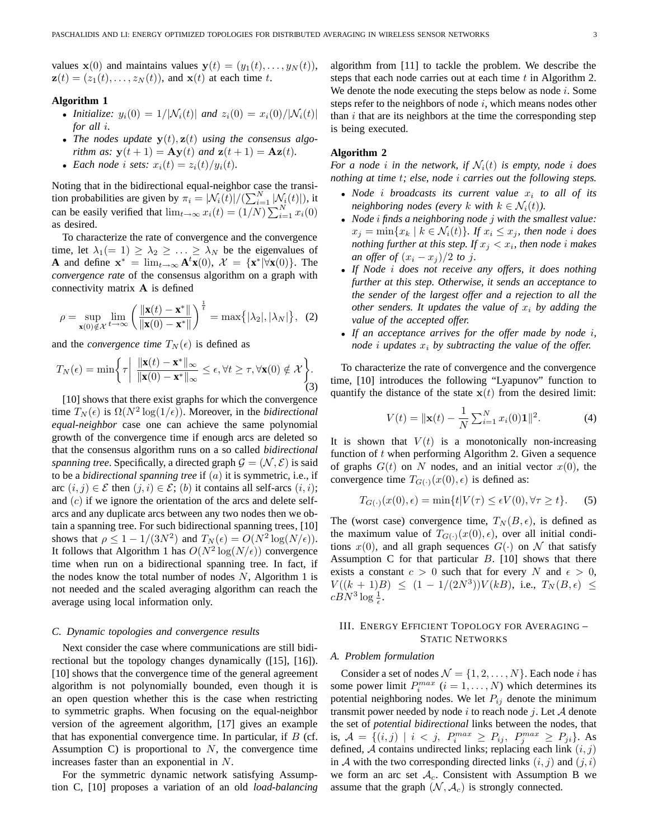values  $\mathbf{x}(0)$  and maintains values  $\mathbf{y}(t) = (y_1(t), \dots, y_N(t)),$  $z(t) = (z_1(t), \ldots, z_N(t))$ , and  $x(t)$  at each time t.

## **Algorithm 1**

- *Initialize:*  $y_i(0) = 1/|\mathcal{N}_i(t)|$  *and*  $z_i(0) = x_i(0)/|\mathcal{N}_i(t)|$ *for all* i*.*
- The nodes update  $y(t)$ ,  $z(t)$  using the consensus algo*rithm as:*  $\mathbf{y}(t+1) = \mathbf{A}\mathbf{y}(t)$  *and*  $\mathbf{z}(t+1) = \mathbf{A}\mathbf{z}(t)$ *.*
- *Each node i sets:*  $x_i(t) = z_i(t)/y_i(t)$ .

Noting that in the bidirectional equal-neighbor case the transition probabilities are given by  $\pi_i = |\mathcal{N}_i(t)|/(\sum_{i=1}^N |\mathcal{N}_i(t)|)$ , it can be easily verified that  $\lim_{t \to \infty} x_i(t) = (1/N) \sum_{i=1}^{N} x_i(0)$ as desired.

To characterize the rate of convergence and the convergence time, let  $\lambda_1(= 1) \geq \lambda_2 \geq \ldots \geq \lambda_N$  be the eigenvalues of **A** and define  $\mathbf{x}^* = \lim_{t \to \infty} \mathbf{A}^t \mathbf{x}(0), \; \mathcal{X} = {\mathbf{x}^* | \forall \mathbf{x}(0)}.$  The *convergence rate* of the consensus algorithm on a graph with connectivity matrix A is defined

$$
\rho = \sup_{\mathbf{x}(0)\notin\mathcal{X}} \lim_{t\to\infty} \left( \frac{\|\mathbf{x}(t) - \mathbf{x}^*\|}{\|\mathbf{x}(0) - \mathbf{x}^*\|} \right)^{\frac{1}{t}} = \max\{|\lambda_2|, |\lambda_N|\}, \tag{2}
$$

and the *convergence time*  $T_N(\epsilon)$  is defined as

$$
T_N(\epsilon) = \min\bigg\{\tau \bigg| \frac{\|\mathbf{x}(t) - \mathbf{x}^*\|_{\infty}}{\|\mathbf{x}(0) - \mathbf{x}^*\|_{\infty}} \leq \epsilon, \forall t \geq \tau, \forall \mathbf{x}(0) \notin \mathcal{X}\bigg\}.
$$
\n(3)

[10] shows that there exist graphs for which the convergence time  $T_N(\epsilon)$  is  $\Omega(N^2 \log(1/\epsilon))$ . Moreover, in the *bidirectional equal-neighbor* case one can achieve the same polynomial growth of the convergence time if enough arcs are deleted so that the consensus algorithm runs on a so called *bidirectional spanning tree.* Specifically, a directed graph  $\mathcal{G} = (\mathcal{N}, \mathcal{E})$  is said to be a *bidirectional spanning tree* if (a) it is symmetric, i.e., if arc  $(i, j) \in \mathcal{E}$  then  $(j, i) \in \mathcal{E}$ ; (b) it contains all self-arcs  $(i, i)$ ; and  $(c)$  if we ignore the orientation of the arcs and delete selfarcs and any duplicate arcs between any two nodes then we obtain a spanning tree. For such bidirectional spanning trees, [10] shows that  $\rho \leq 1 - 1/(3N^2)$  and  $T_N(\epsilon) = O(N^2 \log(N/\epsilon)).$ It follows that Algorithm 1 has  $O(N^2 \log(N/\epsilon))$  convergence time when run on a bidirectional spanning tree. In fact, if the nodes know the total number of nodes  $N$ , Algorithm 1 is not needed and the scaled averaging algorithm can reach the average using local information only.

#### *C. Dynamic topologies and convergence results*

Next consider the case where communications are still bidirectional but the topology changes dynamically ([15], [16]). [10] shows that the convergence time of the general agreement algorithm is not polynomially bounded, even though it is an open question whether this is the case when restricting to symmetric graphs. When focusing on the equal-neighbor version of the agreement algorithm, [17] gives an example that has exponential convergence time. In particular, if  $B$  (cf. Assumption C) is proportional to  $N$ , the convergence time increases faster than an exponential in N.

For the symmetric dynamic network satisfying Assumption C, [10] proposes a variation of an old *load-balancing* algorithm from [11] to tackle the problem. We describe the steps that each node carries out at each time  $t$  in Algorithm 2. We denote the node executing the steps below as node  $i$ . Some steps refer to the neighbors of node  $i$ , which means nodes other than  $i$  that are its neighbors at the time the corresponding step is being executed.

## **Algorithm 2**

*For a node i in the network, if*  $\mathcal{N}_i(t)$  *is empty, node i does nothing at time* t*; else, node* i *carries out the following steps.*

- *Node i broadcasts its current value*  $x_i$  to all of its *neighboring nodes (every k with*  $k \in \mathcal{N}_i(t)$ ).
- *Node* i *finds a neighboring node* j *with the smallest value:*  $x_j = \min\{x_k \mid k \in \mathcal{N}_i(t)\}\$ . If  $x_i \leq x_j$ , then node *i* does  $\emph{nothing further at this step. If $x_j < x_i$, then node $i$ makes $i$ for all $i \in \{1,2, \ldots, n\}$, and $i$ for all $i \in \{1,2, \ldots, n\}$, and $i$ for all $i \in \{1,2, \ldots, n\}$, and $i$ for all $i \in \{1,2, \ldots, n\}$, and $i$ for all $i \in \{1,2, \ldots, n\}$, and $i$ for all $i \in \{1,2, \ldots, n\}$, and $i$ for all $i \in \{1,2, \ldots, n\}$, and $i$ for all $i \in \{1,2, \ldots, n\}$, and $i$ for$ *an offer of*  $(x_i - x_j)/2$  *to j.*
- *If Node* i *does not receive any offers, it does nothing further at this step. Otherwise, it sends an acceptance to the sender of the largest offer and a rejection to all the other senders. It updates the value of*  $x_i$  *by adding the value of the accepted offer.*
- *If an acceptance arrives for the offer made by node* i*, node i updates*  $x_i$  *by subtracting the value of the offer.*

To characterize the rate of convergence and the convergence time, [10] introduces the following "Lyapunov" function to quantify the distance of the state  $x(t)$  from the desired limit:

$$
V(t) = \|\mathbf{x}(t) - \frac{1}{N} \sum_{i=1}^{N} x_i(0)\mathbf{1}\|^2.
$$
 (4)

It is shown that  $V(t)$  is a monotonically non-increasing function of  $t$  when performing Algorithm 2. Given a sequence of graphs  $G(t)$  on N nodes, and an initial vector  $x(0)$ , the convergence time  $T_{G(\cdot)}(x(0), \epsilon)$  is defined as:

$$
T_{G(\cdot)}(x(0), \epsilon) = \min\{t | V(\tau) \le \epsilon V(0), \forall \tau \ge t\}.
$$
 (5)

The (worst case) convergence time,  $T_N(B, \epsilon)$ , is defined as the maximum value of  $T_{G(\cdot)}(x(0), \epsilon)$ , over all initial conditions  $x(0)$ , and all graph sequences  $G(\cdot)$  on  $\mathcal N$  that satisfy Assumption C for that particular  $B$ . [10] shows that there exists a constant  $c > 0$  such that for every N and  $\epsilon > 0$ ,  $V((k + 1)B) \leq (1 - 1/(2N^3))V(kB)$ , i.e.,  $T_N(B, \epsilon) \leq$  $cBN^3\log\frac{1}{\epsilon}$ .

## III. ENERGY EFFICIENT TOPOLOGY FOR AVERAGING – STATIC NETWORKS

## *A. Problem formulation*

Consider a set of nodes  $\mathcal{N} = \{1, 2, ..., N\}$ . Each node *i* has some power limit  $P_i^{max}$   $(i = 1, ..., N)$  which determines its potential neighboring nodes. We let  $P_{ij}$  denote the minimum transmit power needed by node  $i$  to reach node  $j$ . Let  $A$  denote the set of *potential bidirectional* links between the nodes, that is,  $A = \{(i, j) | i < j, P_i^{max} \ge P_{ij}, P_j^{max} \ge P_{ji}\}.$  As defined, A contains undirected links; replacing each link  $(i, j)$ in A with the two corresponding directed links  $(i, j)$  and  $(j, i)$ we form an arc set  $A_c$ . Consistent with Assumption B we assume that the graph  $(N, \mathcal{A}_c)$  is strongly connected.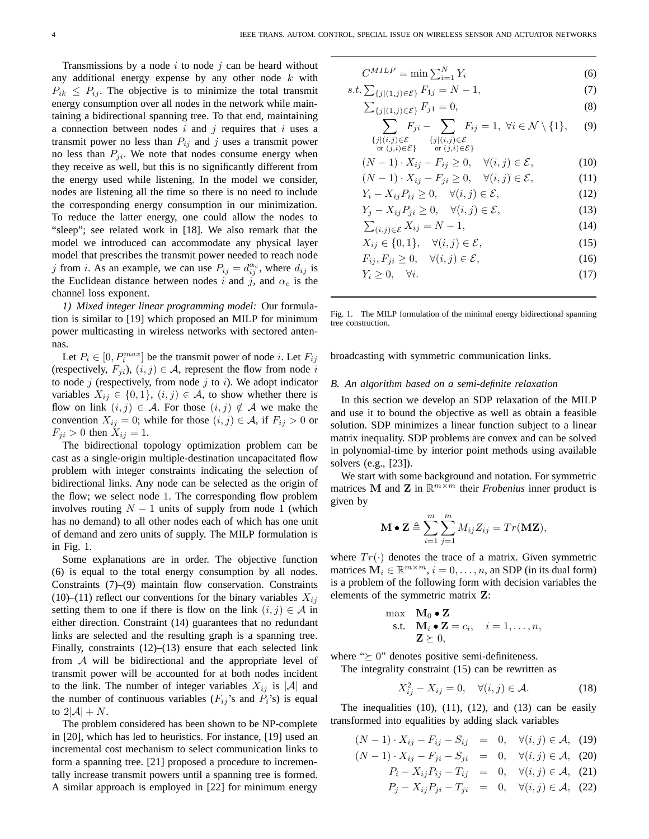Transmissions by a node  $i$  to node  $j$  can be heard without any additional energy expense by any other node  $k$  with  $P_{ik} \leq P_{ij}$ . The objective is to minimize the total transmit energy consumption over all nodes in the network while maintaining a bidirectional spanning tree. To that end, maintaining a connection between nodes  $i$  and  $j$  requires that  $i$  uses a transmit power no less than  $P_{ij}$  and j uses a transmit power no less than  $P_{ji}$ . We note that nodes consume energy when they receive as well, but this is no significantly different from the energy used while listening. In the model we consider, nodes are listening all the time so there is no need to include the corresponding energy consumption in our minimization. To reduce the latter energy, one could allow the nodes to "sleep"; see related work in [18]. We also remark that the model we introduced can accommodate any physical layer model that prescribes the transmit power needed to reach node j from *i*. As an example, we can use  $P_{ij} = d_{ij}^{\alpha_c}$ , where  $d_{ij}$  is the Euclidean distance between nodes i and j, and  $\alpha_c$  is the channel loss exponent.

*1) Mixed integer linear programming model:* Our formulation is similar to [19] which proposed an MILP for minimum power multicasting in wireless networks with sectored antennas.

Let  $P_i \in [0, P_i^{max}]$  be the transmit power of node *i*. Let  $F_{ij}$ (respectively,  $F_{ii}$ ),  $(i, j) \in A$ , represent the flow from node i to node  $j$  (respectively, from node  $j$  to  $i$ ). We adopt indicator variables  $X_{ij} \in \{0,1\}$ ,  $(i, j) \in \mathcal{A}$ , to show whether there is flow on link  $(i, j) \in A$ . For those  $(i, j) \notin A$  we make the convention  $X_{ij} = 0$ ; while for those  $(i, j) \in A$ , if  $F_{ij} > 0$  or  $F_{ji} > 0$  then  $X_{ij} = 1$ .

The bidirectional topology optimization problem can be cast as a single-origin multiple-destination uncapacitated flow problem with integer constraints indicating the selection of bidirectional links. Any node can be selected as the origin of the flow; we select node 1. The corresponding flow problem involves routing  $N - 1$  units of supply from node 1 (which has no demand) to all other nodes each of which has one unit of demand and zero units of supply. The MILP formulation is in Fig. 1.

Some explanations are in order. The objective function (6) is equal to the total energy consumption by all nodes. Constraints (7)–(9) maintain flow conservation. Constraints (10)–(11) reflect our conventions for the binary variables  $X_{ii}$ setting them to one if there is flow on the link  $(i, j) \in A$  in either direction. Constraint (14) guarantees that no redundant links are selected and the resulting graph is a spanning tree. Finally, constraints  $(12)$ – $(13)$  ensure that each selected link from A will be bidirectional and the appropriate level of transmit power will be accounted for at both nodes incident to the link. The number of integer variables  $X_{ij}$  is  $|\mathcal{A}|$  and the number of continuous variables ( $F_{ij}$ 's and  $P_i$ 's) is equal to  $2|\mathcal{A}| + N$ .

The problem considered has been shown to be NP-complete in [20], which has led to heuristics. For instance, [19] used an incremental cost mechanism to select communication links to form a spanning tree. [21] proposed a procedure to incrementally increase transmit powers until a spanning tree is formed. A similar approach is employed in [22] for minimum energy

$$
C^{MILP} = \min \sum_{i=1}^{N} Y_i
$$
 (6)

$$
s.t. \sum_{\{j|(1,j)\in\mathcal{E}\}} F_{1j} = N - 1,\tag{7}
$$

$$
\sum_{\{j|(1,j)\in\mathcal{E}\}} F_{j1} = 0,\tag{8}
$$

$$
\sum_{\{j|(i,j)\in\mathcal{E}} F_{ji} - \sum_{\{j|(i,j)\in\mathcal{E}} F_{ij} = 1, \ \forall i \in \mathcal{N} \setminus \{1\}, \qquad (9)
$$

$$
\begin{array}{ll}\n\text{or } (j,i)\in \mathcal{E} \} & \text{or } (j,i)\in \mathcal{E} \\
(N-1)\cdot X_{ij} - F_{ij} \geq 0, \quad \forall (i,j)\in \mathcal{E},\n\end{array} \tag{10}
$$

$$
(N-1) \cdot X_{ij} - F_{ji} \ge 0, \quad \forall (i, j) \in \mathcal{E}, \tag{11}
$$

$$
Y_i - X_{ij} P_{ij} \ge 0, \quad \forall (i, j) \in \mathcal{E}, \tag{12}
$$

$$
Y_j - X_{ij} P_{ji} \ge 0, \quad \forall (i, j) \in \mathcal{E}, \tag{13}
$$

$$
\sum_{(i,j)\in\mathcal{E}} X_{ij} = N - 1,\tag{14}
$$

$$
X_{ij} \in \{0, 1\}, \quad \forall (i, j) \in \mathcal{E}, \tag{15}
$$

$$
F_{ij}, F_{ji} \ge 0, \quad \forall (i, j) \in \mathcal{E}, \tag{16}
$$

 $Y_i \geq 0, \quad \forall i.$  (17)

broadcasting with symmetric communication links.

#### *B. An algorithm based on a semi-definite relaxation*

In this section we develop an SDP relaxation of the MILP and use it to bound the objective as well as obtain a feasible solution. SDP minimizes a linear function subject to a linear matrix inequality. SDP problems are convex and can be solved in polynomial-time by interior point methods using available solvers (e.g., [23]).

We start with some background and notation. For symmetric matrices M and Z in  $\mathbb{R}^{m \times m}$  their *Frobenius* inner product is given by

$$
\mathbf{M} \bullet \mathbf{Z} \triangleq \sum_{i=1}^{m} \sum_{j=1}^{m} M_{ij} Z_{ij} = Tr(\mathbf{MZ}),
$$

where  $Tr(\cdot)$  denotes the trace of a matrix. Given symmetric matrices  $\mathbf{M}_i \in \mathbb{R}^{m \times m}$ ,  $i = 0, \dots, n$ , an SDP (in its dual form) is a problem of the following form with decision variables the elements of the symmetric matrix Z:

$$
\begin{array}{ll}\n\max & \mathbf{M}_0 \bullet \mathbf{Z} \\
\text{s.t.} & \mathbf{M}_i \bullet \mathbf{Z} = c_i, \quad i = 1, \dots, n, \\
\mathbf{Z} \succeq 0,\n\end{array}
$$

where " $\succeq$  0" denotes positive semi-definiteness.

The integrality constraint (15) can be rewritten as

$$
X_{ij}^2 - X_{ij} = 0, \quad \forall (i, j) \in \mathcal{A}.
$$
 (18)

The inequalities  $(10)$ ,  $(11)$ ,  $(12)$ , and  $(13)$  can be easily transformed into equalities by adding slack variables

$$
(N-1) \cdot X_{ij} - F_{ij} - S_{ij} = 0, \quad \forall (i, j) \in \mathcal{A}, \quad (19)
$$
  

$$
(N-1) \cdot X_{ij} - F_{ji} - S_{ji} = 0, \quad \forall (i, j) \in \mathcal{A}, \quad (20)
$$

$$
P_i - X_{ij} P_{ij} - T_{ij} = 0, \quad \forall (i, j) \in \mathcal{A}, \quad (21)
$$

$$
P_j - X_{ij} P_{ji} - T_{ji} = 0, \quad \forall (i, j) \in \mathcal{A}, \quad (22)
$$

Fig. 1. The MILP formulation of the minimal energy bidirectional spanning tree construction.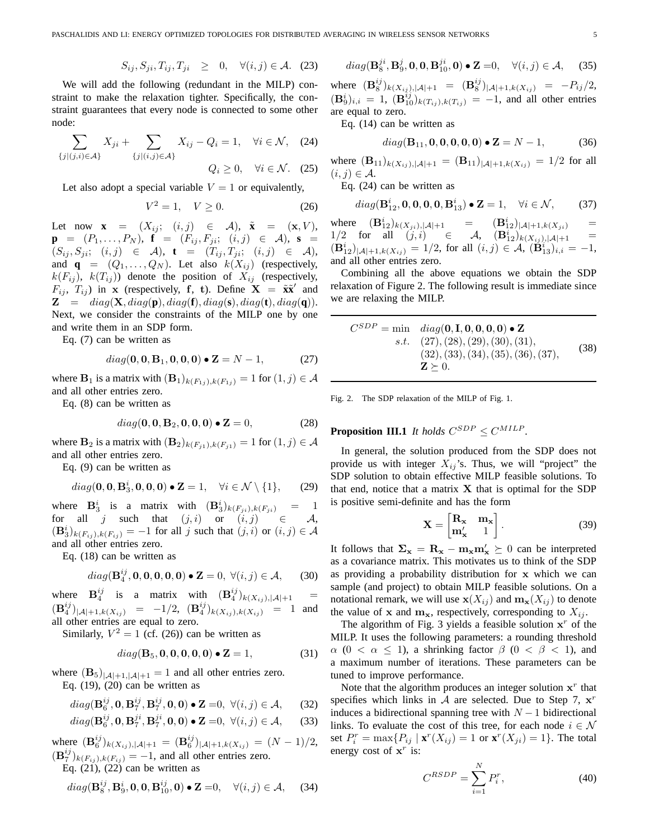$$
S_{ij}, S_{ji}, T_{ij}, T_{ji} \geq 0, \quad \forall (i, j) \in \mathcal{A}. \quad (23)
$$

We will add the following (redundant in the MILP) constraint to make the relaxation tighter. Specifically, the constraint guarantees that every node is connected to some other node:

$$
\sum_{\{j|(j,i)\in\mathcal{A}\}} X_{ji} + \sum_{\{j|(i,j)\in\mathcal{A}\}} X_{ij} - Q_i = 1, \quad \forall i \in \mathcal{N}, \quad (24)
$$

$$
Q_i \geq 0, \quad \forall i \in \mathcal{N}. \quad (25)
$$

Let also adopt a special variable  $V = 1$  or equivalently,

$$
V^2 = 1, \quad V \ge 0. \tag{26}
$$

Let now  $\mathbf{x} = (X_{ij}; (i,j) \in \mathcal{A})$ ,  $\tilde{\mathbf{x}} = (\mathbf{x}, V)$ ,  $\mathbf{p} = (P_1, \ldots, P_N), \mathbf{f} = (F_{ij}, F_{ji}; (i, j) \in \mathcal{A}), \mathbf{s} =$  $(S_{ij}, S_{ji}; (i, j) \in \mathcal{A}),$  **t** =  $(T_{ij}, T_{ji}; (i, j) \in \mathcal{A}),$ and  $\mathbf{q} = (Q_1, \dots, Q_N)$ . Let also  $k(X_{ij})$  (respectively,  $k(F_{ij})$ ,  $k(T_{ij})$ ) denote the position of  $X_{ij}$  (respectively,  $F_{ij}$ ,  $T_{ij}$ ) in x (respectively, f, t). Define  $X = \tilde{\mathbf{x}}\tilde{\mathbf{x}}'$  and  $Z = diag(X, diag(p), diag(f), diag(s), diag(t), diag(q)).$ Next, we consider the constraints of the MILP one by one and write them in an SDP form.

Eq. (7) can be written as

$$
diag(0,0,B_1,0,0,0) \bullet Z = N - 1,
$$
 (27)

where  $\mathbf{B}_1$  is a matrix with  $(\mathbf{B}_1)_{k(F_{1i}),k(F_{1i})} = 1$  for  $(1, j) \in \mathcal{A}$ and all other entries zero.

Eq. (8) can be written as

$$
diag(\mathbf{0}, \mathbf{0}, \mathbf{B}_2, \mathbf{0}, \mathbf{0}, \mathbf{0}) \bullet \mathbf{Z} = 0,
$$
 (28)

where  $\mathbf{B}_2$  is a matrix with  $(\mathbf{B}_2)_{k(F_{i1}),k(F_{i1})}=1$  for  $(1, j) \in \mathcal{A}$ and all other entries zero.

Eq. (9) can be written as

$$
diag(\mathbf{0}, \mathbf{0}, \mathbf{B}_3^i, \mathbf{0}, \mathbf{0}, \mathbf{0}) \bullet \mathbf{Z} = 1, \quad \forall i \in \mathcal{N} \setminus \{1\}, \qquad (29)
$$

where  $\mathbf{B}_3^i$  is a matrix with  $(\mathbf{B}_3^i)_{k(F_{ji}),k(F_{ji})} = 1$ for all j such that  $(j, i)$  or  $(i, j)$   $\in$  A,  $(\mathbf{B}_{3}^{i})_{k(F_{ij}),k(F_{ij})} = -1$  for all j such that  $(j,i)$  or  $(i,j) \in \mathcal{A}$ and all other entries zero.

Eq. (18) can be written as

$$
diag(\mathbf{B}_4^{ij}, \mathbf{0}, \mathbf{0}, \mathbf{0}, \mathbf{0}, \mathbf{0}) \bullet \mathbf{Z} = 0, \ \forall (i, j) \in \mathcal{A}, \qquad (30)
$$

where  $\mathbf{B}_4^{ij}$  is a matrix with  $(\mathbf{B}_4^{ij})_{k(X_{ij}), |\mathcal{A}|+1}$  =  $(\mathbf{B}_4^{ij})_{|\mathcal{A}|+1,k(X_{ij})} = -1/2, \; (\mathbf{B}_4^{ij})_{k(X_{ij}),k(X_{ij})} = 1$  and all other entries are equal to zero.

Similarly,  $V^2 = 1$  (cf. (26)) can be written as

$$
diag(B_5, 0, 0, 0, 0, 0) \bullet Z = 1,
$$
 (31)

where  $(\mathbf{B}_5)_{|\mathcal{A}|+1,|\mathcal{A}|+1} = 1$  and all other entries zero. Eq. (19), (20) can be written as

$$
diag(\mathbf{B}_6^{ij}, \mathbf{0}, \mathbf{B}_7^{ij}, \mathbf{B}_7^{ij}, \mathbf{0}, \mathbf{0}) \bullet \mathbf{Z} = 0, \ \forall (i, j) \in \mathcal{A}, \tag{32}
$$

$$
diag(\mathbf{B}_6^{ij}, \mathbf{0}, \mathbf{B}_7^{ji}, \mathbf{B}_7^{ji}, \mathbf{0}, \mathbf{0}) \bullet \mathbf{Z} = 0, \ \forall (i, j) \in \mathcal{A}, \tag{33}
$$

where  $(\mathbf{B}_6^{ij})_{k(X_{ij}), |\mathcal{A}|+1} = (\mathbf{B}_6^{ij})_{|\mathcal{A}|+1, k(X_{ij})} = (N-1)/2$ ,  $(\mathbf{B}_{7}^{ij})_{k(F_{ij}),k(F_{ij})} = -1$ , and all other entries zero. Eq.  $(21)$ ,  $(22)$  can be written as

ij

$$
diag(\mathbf{B}_8^{ij}, \mathbf{B}_9^i, \mathbf{0}, \mathbf{0}, \mathbf{B}_{10}^{ij}, \mathbf{0}) \bullet \mathbf{Z} = 0, \quad \forall (i, j) \in \mathcal{A}, \quad (34)
$$

$$
diag(\mathbf{B}_8^{ji}, \mathbf{B}_9^j, \mathbf{0}, \mathbf{0}, \mathbf{B}_{10}^{ji}, \mathbf{0}) \bullet \mathbf{Z} = 0, \quad \forall (i, j) \in \mathcal{A}, \quad (35)
$$

where  $(\mathbf{B}_8^{ij})_{k(X_{ij}), |\mathcal{A}|+1}$  =  $(\mathbf{B}_8^{ij})_{|\mathcal{A}|+1, k(X_{ij})}$  =  $-P_{ij}/2$ ,  $((\mathbf{B}_{9}^{i})_{i,i} = 1, (\mathbf{B}_{10}^{i,j})_{k(T_{ij}),k(T_{ij})} = -1$ , and all other entries are equal to zero.

Eq. (14) can be written as

$$
diag(\mathbf{B}_{11}, \mathbf{0}, \mathbf{0}, \mathbf{0}, \mathbf{0}, \mathbf{0}) \bullet \mathbf{Z} = N - 1,\tag{36}
$$

where  $(\mathbf{B}_{11})_{k(X_{ij}), |\mathcal{A}|+1} = (\mathbf{B}_{11})_{|\mathcal{A}|+1,k(X_{ij})} = 1/2$  for all  $(i, j) \in \mathcal{A}.$ 

Eq. (24) can be written as

$$
diag(\mathbf{B}_{12}^i, \mathbf{0}, \mathbf{0}, \mathbf{0}, \mathbf{0}, \mathbf{B}_{13}^i) \bullet \mathbf{Z} = 1, \quad \forall i \in \mathcal{N}, \tag{37}
$$

where  $({\bf B}_{12}^i)_{k(X_{ji}),|{\cal A}|+1}$  =  $({\bf B}_{1}^i)$  $(\mathbf{B}_{12}^i)|_{\mathcal{A}}|_{\mathcal{+}1,k(X_{ii})}$  $1/2$  for all  $(j, i)$   $\in$   $\mathcal{A}$ ,  $(\mathbf{B}_{12}^{i})_{k}(X_{ij}), |\mathcal{A}|+1$  =  $(\mathbf{B}_{12}^i)_{|\mathcal{A}|+1,k(X_{ij})}=1/2$ , for all  $(i,j)\in \mathcal{A}$ ,  $(\dot{\mathbf{B}}_{13}^i)_{i,i}=-1$ , and all other entries zero.

Combining all the above equations we obtain the SDP relaxation of Figure 2. The following result is immediate since we are relaxing the MILP.

$$
C^{SDP} = \min \quad diag(\mathbf{0}, \mathbf{I}, \mathbf{0}, \mathbf{0}, \mathbf{0}, \mathbf{0}) \bullet \mathbf{Z}
$$
  
s.t. (27), (28), (29), (30), (31),  
(32), (33), (34), (35), (36), (37),  

$$
\mathbf{Z} \succeq 0.
$$
 (38)

Fig. 2. The SDP relaxation of the MILP of Fig. 1.

# **Proposition III.1** *It holds*  $C^{SDP} \leq C^{MILP}$ *.*

In general, the solution produced from the SDP does not provide us with integer  $X_{ij}$ 's. Thus, we will "project" the SDP solution to obtain effective MILP feasible solutions. To that end, notice that a matrix  $X$  that is optimal for the SDP is positive semi-definite and has the form

$$
\mathbf{X} = \begin{bmatrix} \mathbf{R}_{\mathbf{x}} & \mathbf{m}_{\mathbf{x}} \\ \mathbf{m}'_{\mathbf{x}} & 1 \end{bmatrix} . \tag{39}
$$

It follows that  $\Sigma_{\mathbf{x}} = \mathbf{R}_{\mathbf{x}} - \mathbf{m}_{\mathbf{x}} \mathbf{m}'_{\mathbf{x}} \succeq 0$  can be interpreted as a covariance matrix. This motivates us to think of the SDP as providing a probability distribution for x which we can sample (and project) to obtain MILP feasible solutions. On a notational remark, we will use  $\mathbf{x}(X_{ij})$  and  $\mathbf{m}_{\mathbf{x}}(X_{ij})$  to denote the value of x and  $m_x$ , respectively, corresponding to  $X_{ij}$ .

The algorithm of Fig. 3 yields a feasible solution  $x^r$  of the MILP. It uses the following parameters: a rounding threshold  $\alpha$  (0 <  $\alpha \leq 1$ ), a shrinking factor  $\beta$  (0 <  $\beta$  < 1), and a maximum number of iterations. These parameters can be tuned to improve performance.

Note that the algorithm produces an integer solution  $x<sup>r</sup>$  that specifies which links in A are selected. Due to Step 7,  $x^r$ induces a bidirectional spanning tree with  $N-1$  bidirectional links. To evaluate the cost of this tree, for each node  $i \in \mathcal{N}$ set  $P_i^r = \max\{P_{ij} \mid \mathbf{x}^r(X_{ij}) = 1 \text{ or } \mathbf{x}^r(X_{ji}) = 1\}.$  The total energy cost of  $x^r$  is:

$$
C^{RSDP} = \sum_{i=1}^{N} P_i^r,\tag{40}
$$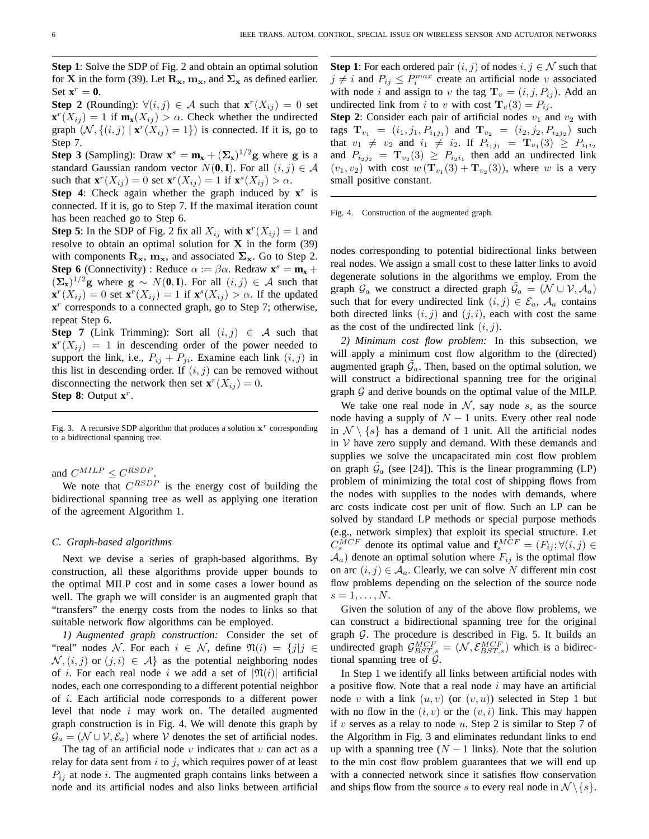**Step 1**: Solve the SDP of Fig. 2 and obtain an optimal solution for **X** in the form (39). Let  $\mathbf{R}_{\mathbf{x}}$ ,  $\mathbf{m}_{\mathbf{x}}$ , and  $\mathbf{\Sigma}_{\mathbf{x}}$  as defined earlier. Set  $\mathbf{x}^r = \mathbf{0}$ .

**Step 2** (Rounding):  $\forall (i, j) \in \mathcal{A}$  such that  $\mathbf{x}^r(X_{ij}) = 0$  set  $\mathbf{x}^r(X_{ij}) = 1$  if  $\mathbf{m}_\mathbf{x}(X_{ij}) > \alpha$ . Check whether the undirected graph  $(\mathcal{N}, \{(i, j) | \mathbf{x}^r(X_{ij}) = 1\})$  is connected. If it is, go to Step 7.

**Step 3** (Sampling): Draw  $\mathbf{x}^s = \mathbf{m}_\mathbf{x} + (\mathbf{\Sigma}_\mathbf{x})^{1/2} \mathbf{g}$  where g is a standard Gaussian random vector  $N(\mathbf{0}, \mathbf{I})$ . For all  $(i, j) \in \mathcal{A}$ such that  $\mathbf{x}^r(X_{ij}) = 0$  set  $\mathbf{x}^r(X_{ij}) = 1$  if  $\mathbf{x}^s(X_{ij}) > \alpha$ .

**Step 4:** Check again whether the graph induced by  $x^r$  is connected. If it is, go to Step 7. If the maximal iteration count has been reached go to Step 6.

**Step 5**: In the SDP of Fig. 2 fix all  $X_{ij}$  with  $\mathbf{x}^r(X_{ij}) = 1$  and resolve to obtain an optimal solution for  $X$  in the form (39) with components  $\mathbf{R}_{\mathbf{x}}$ ,  $\mathbf{m}_{\mathbf{x}}$ , and associated  $\Sigma_{\mathbf{x}}$ . Go to Step 2. **Step 6** (Connectivity) : Reduce  $\alpha := \beta \alpha$ . Redraw  $\mathbf{x}^s = \mathbf{m}_\mathbf{x} + \mathbf{m}_\mathbf{x}$  $(Σ<sub>x</sub>)<sup>1/2</sup>g$  where  $g ∼ N(0,I)$ . For all  $(i, j) ∈ A$  such that **x**<sup>*r*</sup>( $X_{ij}$ ) = 0 set **x**<sup>*r*</sup>( $X_{ij}$ ) = 1 if **x**<sup>*s*</sup>( $X_{ij}$ ) >  $\alpha$ . If the updated  $x<sup>r</sup>$  corresponds to a connected graph, go to Step 7; otherwise, repeat Step 6.

**Step 7** (Link Trimming): Sort all  $(i, j) \in A$  such that  $\mathbf{x}^r(X_{ij}) = 1$  in descending order of the power needed to support the link, i.e.,  $P_{ij} + P_{ji}$ . Examine each link  $(i, j)$  in this list in descending order. If  $(i, j)$  can be removed without disconnecting the network then set  $\mathbf{x}^r(X_{ij}) = 0$ . Step 8: Output  $\mathbf{x}^r$ .

and  $C^{MILP} \leq C^{RSDP}$ .

We note that  $C^{RSDP}$  is the energy cost of building the bidirectional spanning tree as well as applying one iteration of the agreement Algorithm 1.

## *C. Graph-based algorithms*

Next we devise a series of graph-based algorithms. By construction, all these algorithms provide upper bounds to the optimal MILP cost and in some cases a lower bound as well. The graph we will consider is an augmented graph that "transfers" the energy costs from the nodes to links so that suitable network flow algorithms can be employed.

*1) Augmented graph construction:* Consider the set of "real" nodes N. For each  $i \in \mathcal{N}$ , define  $\Re(i) = \{j | j \in \mathcal{N} \}$  $\mathcal{N}, (i, j)$  or  $(j, i) \in \mathcal{A}$  as the potential neighboring nodes of i. For each real node i we add a set of  $|\mathfrak{N}(i)|$  artificial nodes, each one corresponding to a different potential neighbor of i. Each artificial node corresponds to a different power level that node  $i$  may work on. The detailed augmented graph construction is in Fig. 4. We will denote this graph by  $\mathcal{G}_a = (\mathcal{N} \cup \mathcal{V}, \mathcal{E}_a)$  where  $\mathcal V$  denotes the set of artificial nodes.

The tag of an artificial node  $v$  indicates that  $v$  can act as a relay for data sent from  $i$  to  $j$ , which requires power of at least  $P_{ij}$  at node *i*. The augmented graph contains links between a node and its artificial nodes and also links between artificial **Step 1**: For each ordered pair  $(i, j)$  of nodes  $i, j \in \mathcal{N}$  such that  $j \neq i$  and  $P_{ij} \leq P_i^{max}$  create an artificial node v associated with node i and assign to v the tag  $\mathbf{T}_v = (i, j, P_{ij})$ . Add an undirected link from i to v with cost  $\mathbf{T}_v(3) = P_{ij}$ .

**Step 2**: Consider each pair of artificial nodes  $v_1$  and  $v_2$  with tags  $\mathbf{T}_{v_1} = (i_1, j_1, P_{i_1 j_1})$  and  $\mathbf{T}_{v_2} = (i_2, j_2, P_{i_2 j_2})$  such that  $v_1 \neq v_2$  and  $i_1 \neq i_2$ . If  $P_{i_1j_1} = \mathbf{T}_{v_1}(3) \geq P_{i_1i_2}$ and  $P_{i_2j_2} = \mathbf{T}_{v_2}(3) \ge P_{i_2i_1}$  then add an undirected link  $(v_1, v_2)$  with cost  $w(\mathbf{T}_{v_1}(3) + \mathbf{T}_{v_2}(3))$ , where w is a very small positive constant.

Fig. 4. Construction of the augmented graph.

nodes corresponding to potential bidirectional links between real nodes. We assign a small cost to these latter links to avoid degenerate solutions in the algorithms we employ. From the graph  $\mathcal{G}_a$  we construct a directed graph  $\tilde{\mathcal{G}}_a = (\mathcal{N} \cup \mathcal{V}, \mathcal{A}_a)$ such that for every undirected link  $(i, j) \in \mathcal{E}_a$ ,  $\mathcal{A}_a$  contains both directed links  $(i, j)$  and  $(j, i)$ , each with cost the same as the cost of the undirected link  $(i, j)$ .

*2) Minimum cost flow problem:* In this subsection, we will apply a minimum cost flow algorithm to the (directed) augmented graph  $\tilde{G}_a$ . Then, based on the optimal solution, we will construct a bidirectional spanning tree for the original graph G and derive bounds on the optimal value of the MILP.

We take one real node in  $N$ , say node s, as the source node having a supply of  $N - 1$  units. Every other real node in  $\mathcal{N} \setminus \{s\}$  has a demand of 1 unit. All the artificial nodes in  $V$  have zero supply and demand. With these demands and supplies we solve the uncapacitated min cost flow problem on graph  $\tilde{G}_a$  (see [24]). This is the linear programming (LP) problem of minimizing the total cost of shipping flows from the nodes with supplies to the nodes with demands, where arc costs indicate cost per unit of flow. Such an LP can be solved by standard LP methods or special purpose methods (e.g., network simplex) that exploit its special structure. Let  $C_s^{MCF}$  denote its optimal value and  $\mathbf{f}_s^{MCF} = (F_{ij}; \forall (i, j) \in$  $A_a$ ) denote an optimal solution where  $F_{ij}$  is the optimal flow on arc  $(i, j) \in A_a$ . Clearly, we can solve N different min cost flow problems depending on the selection of the source node  $s=1,\ldots,N.$ 

Given the solution of any of the above flow problems, we can construct a bidirectional spanning tree for the original graph  $G$ . The procedure is described in Fig. 5. It builds an undirected graph  $\mathcal{G}^{MCF}_{BST,s} = (\mathcal{N}, \mathcal{E}^{MCF}_{BST,s})$  which is a bidirectional spanning tree of G.

In Step 1 we identify all links between artificial nodes with a positive flow. Note that a real node  $i$  may have an artificial node v with a link  $(u, v)$  (or  $(v, u)$ ) selected in Step 1 but with no flow in the  $(i, v)$  or the  $(v, i)$  link. This may happen if v serves as a relay to node  $u$ . Step 2 is similar to Step 7 of the Algorithm in Fig. 3 and eliminates redundant links to end up with a spanning tree  $(N - 1)$  links). Note that the solution to the min cost flow problem guarantees that we will end up with a connected network since it satisfies flow conservation and ships flow from the source s to every real node in  $\mathcal{N}\setminus\{s\}.$ 

Fig. 3. A recursive SDP algorithm that produces a solution  $x^r$  corresponding to a bidirectional spanning tree.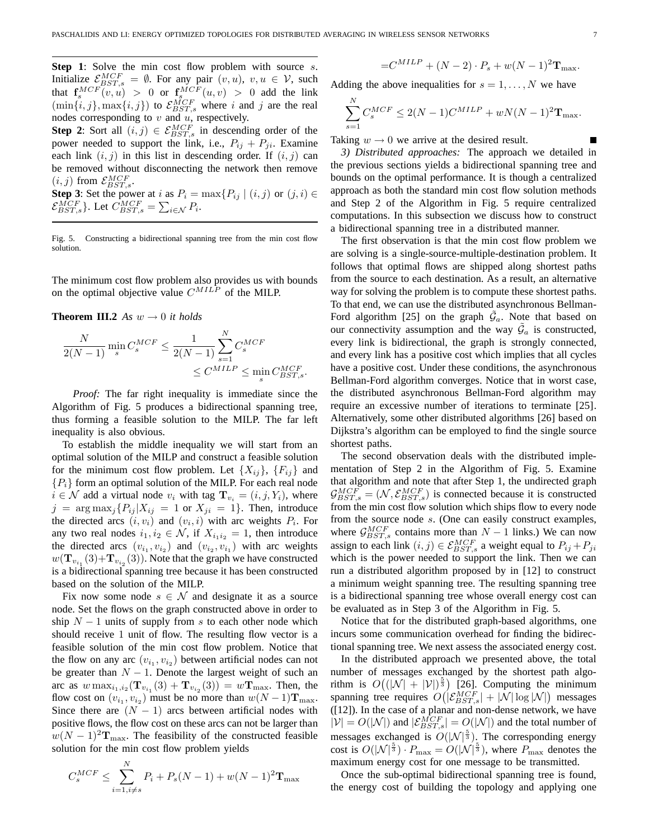**Step 1**: Solve the min cost flow problem with source s. Initialize  $\mathcal{E}_{BST,s}^{MCF} = \emptyset$ . For any pair  $(v, u)$ ,  $v, u \in V$ , such that  $\mathbf{f}_s^{MCF}(v, u) > 0$  or  $\mathbf{f}_s^{MCF}(u, v) > 0$  add the link  $(\min\{i, j\}, \max\{i, j\})$  to  $\mathcal{E}_{BST,s}^{MCF}$  where i and j are the real nodes corresponding to  $v$  and  $u$ , respectively.

**Step 2:** Sort all  $(i, j) \in \mathcal{E}^{MCF}_{BST,s}$  in descending order of the power needed to support the link, i.e.,  $P_{ij} + P_{ji}$ . Examine each link  $(i, j)$  in this list in descending order. If  $(i, j)$  can be removed without disconnecting the network then remove  $(i, j)$  from  $\mathcal{E}_{BST,s}^{MCF}$ .

**Step 3**: Set the power at *i* as  $P_i = \max\{P_{ij} \mid (i,j) \text{ or } (j,i) \in$  $\mathcal{E}_{BST,s}^{MCF}$ }. Let  $C_{BST,s}^{MCF} = \sum_{i \in \mathcal{N}} P_i$ .

Fig. 5. Constructing a bidirectional spanning tree from the min cost flow solution.

The minimum cost flow problem also provides us with bounds on the optimal objective value  $C^{MILP}$  of the MILP.

**Theorem III.2** As  $w \rightarrow 0$  *it holds* 

$$
\frac{N}{2(N-1)} \min_{s} C_s^{MCF} \le \frac{1}{2(N-1)} \sum_{s=1}^{N} C_s^{MCF}
$$

$$
\le C_{MILP} \le \min_{s} C_{BST,s}^{MCF}.
$$

*Proof:* The far right inequality is immediate since the Algorithm of Fig. 5 produces a bidirectional spanning tree, thus forming a feasible solution to the MILP. The far left inequality is also obvious.

To establish the middle inequality we will start from an optimal solution of the MILP and construct a feasible solution for the minimum cost flow problem. Let  $\{X_{ij}\}, \{F_{ij}\}\$  and  ${P_i}$  form an optimal solution of the MILP. For each real node  $i \in \mathcal{N}$  add a virtual node  $v_i$  with tag  $\mathbf{T}_{v_i} = (i, j, Y_i)$ , where  $j = \arg \max_j \{P_{ij} | X_{ij} = 1 \text{ or } X_{ji} = 1\}.$  Then, introduce the directed arcs  $(i, v_i)$  and  $(v_i, i)$  with arc weights  $P_i$ . For any two real nodes  $i_1, i_2 \in \mathcal{N}$ , if  $X_{i_1 i_2} = 1$ , then introduce the directed arcs  $(v_{i_1}, v_{i_2})$  and  $(v_{i_2}, v_{i_1})$  with arc weights  $w(\mathbf{T}_{v_{i_1}}(3) \!+\! \mathbf{T}_{v_{i_2}}(3))$ . Note that the graph we have constructed is a bidirectional spanning tree because it has been constructed based on the solution of the MILP.

Fix now some node  $s \in \mathcal{N}$  and designate it as a source node. Set the flows on the graph constructed above in order to ship  $N - 1$  units of supply from s to each other node which should receive 1 unit of flow. The resulting flow vector is a feasible solution of the min cost flow problem. Notice that the flow on any arc  $(v_{i_1}, v_{i_2})$  between artificial nodes can not be greater than  $N - 1$ . Denote the largest weight of such an arc as  $w \max_{i_1, i_2} (\mathbf{T}_{v_{i_1}}(3) + \mathbf{T}_{v_{i_2}}(3)) = w \mathbf{T}_{\max}$ . Then, the flow cost on  $(v_{i_1}, v_{i_2})$  must be no more than  $w(N-1)\mathbf{T}_{\max}$ . Since there are  $(N - 1)$  arcs between artificial nodes with positive flows, the flow cost on these arcs can not be larger than  $w(N-1)^2$ T<sub>max</sub>. The feasibility of the constructed feasible solution for the min cost flow problem yields

$$
C_s^{MCF} \le \sum_{i=1, i \ne s}^{N} P_i + P_s(N-1) + w(N-1)^2 \mathbf{T}_{\text{max}}
$$

$$
=C^{MILP} + (N-2) \cdot P_s + w(N-1)^2 \mathbf{T}_{\text{max}}.
$$

Adding the above inequalities for  $s = 1, \ldots, N$  we have

$$
\sum_{s=1}^{N} C_s^{MCF} \le 2(N-1)C^{MILP} + wN(N-1)^2 \mathbf{T}_{\text{max}}.
$$

Taking  $w \rightarrow 0$  we arrive at the desired result.

*3) Distributed approaches:* The approach we detailed in the previous sections yields a bidirectional spanning tree and bounds on the optimal performance. It is though a centralized approach as both the standard min cost flow solution methods and Step 2 of the Algorithm in Fig. 5 require centralized computations. In this subsection we discuss how to construct a bidirectional spanning tree in a distributed manner.

The first observation is that the min cost flow problem we are solving is a single-source-multiple-destination problem. It follows that optimal flows are shipped along shortest paths from the source to each destination. As a result, an alternative way for solving the problem is to compute these shortest paths. To that end, we can use the distributed asynchronous Bellman-Ford algorithm [25] on the graph  $\tilde{G}_a$ . Note that based on our connectivity assumption and the way  $\tilde{\mathcal{G}}_a$  is constructed, every link is bidirectional, the graph is strongly connected, and every link has a positive cost which implies that all cycles have a positive cost. Under these conditions, the asynchronous Bellman-Ford algorithm converges. Notice that in worst case, the distributed asynchronous Bellman-Ford algorithm may require an excessive number of iterations to terminate [25]. Alternatively, some other distributed algorithms [26] based on Dijkstra's algorithm can be employed to find the single source shortest paths.

The second observation deals with the distributed implementation of Step 2 in the Algorithm of Fig. 5. Examine that algorithm and note that after Step 1, the undirected graph  $\mathcal{G}_{BST,s}^{MCF} = (\mathcal{N}, \mathcal{E}_{BST,s}^{MCF})$  is connected because it is constructed from the min cost flow solution which ships flow to every node from the source node s. (One can easily construct examples, where  $\mathcal{G}^{MCF}_{BST,s}$  contains more than  $N-1$  links.) We can now assign to each link  $(i, j) \in \mathcal{E}_{BST,s}^{MCF}$  a weight equal to  $P_{ij} + P_{ji}$ which is the power needed to support the link. Then we can run a distributed algorithm proposed by in [12] to construct a minimum weight spanning tree. The resulting spanning tree is a bidirectional spanning tree whose overall energy cost can be evaluated as in Step 3 of the Algorithm in Fig. 5.

Notice that for the distributed graph-based algorithms, one incurs some communication overhead for finding the bidirectional spanning tree. We next assess the associated energy cost.

In the distributed approach we presented above, the total number of messages exchanged by the shortest path algorithm is  $O((|\mathcal{N}| + |\mathcal{V}|)^{\frac{5}{3}})$  [26]. Computing the minimum spanning tree requires  $O(|\mathcal{E}^{MCF}_{BST,s}| + |\mathcal{N}| \log |\mathcal{N}|)$  messages ([12]). In the case of a planar and non-dense network, we have  $|\mathcal{V}| = O(|\mathcal{N}|)$  and  $|\mathcal{E}^{MCF}_{BST,s}| = O(|\mathcal{N}|)$  and the total number of messages exchanged is  $O(|\mathcal{N}|^{\frac{5}{3}})$ . The corresponding energy cost is  $O(|\mathcal{N}|^{\frac{5}{3}}) \cdot P_{\text{max}} = O(|\mathcal{N}|^{\frac{5}{3}})$ , where  $P_{\text{max}}$  denotes the maximum energy cost for one message to be transmitted.

Once the sub-optimal bidirectional spanning tree is found, the energy cost of building the topology and applying one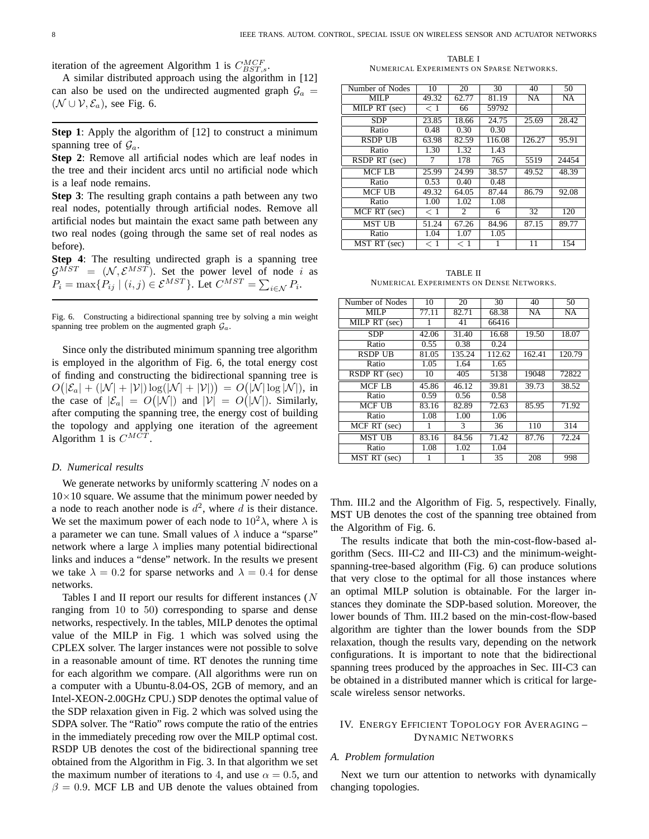iteration of the agreement Algorithm 1 is  $C_{BST,s}^{MCF}$ .

A similar distributed approach using the algorithm in [12] can also be used on the undirected augmented graph  $\mathcal{G}_a$  =  $(\mathcal{N} \cup \mathcal{V}, \mathcal{E}_a)$ , see Fig. 6.

**Step 1**: Apply the algorithm of [12] to construct a minimum spanning tree of  $\mathcal{G}_a$ .

**Step 2**: Remove all artificial nodes which are leaf nodes in the tree and their incident arcs until no artificial node which is a leaf node remains.

**Step 3**: The resulting graph contains a path between any two real nodes, potentially through artificial nodes. Remove all artificial nodes but maintain the exact same path between any two real nodes (going through the same set of real nodes as before).

**Step 4**: The resulting undirected graph is a spanning tree  $\mathcal{G}^{MST}$  =  $(\mathcal{N}, \mathcal{E}^{MST})$ . Set the power level of node i as  $P_i = \max\{P_{ij} \mid (i,j) \in \mathcal{E}^{MST}\}\text{. Let } C^{MST} = \sum_{i \in \mathcal{N}} P_i$ .

Fig. 6. Constructing a bidirectional spanning tree by solving a min weight spanning tree problem on the augmented graph  $\mathcal{G}_a$ .

Since only the distributed minimum spanning tree algorithm is employed in the algorithm of Fig. 6, the total energy cost of finding and constructing the bidirectional spanning tree is  $O(|\mathcal{E}_a| + (|\mathcal{N}| + |\mathcal{V}|) \log(|\mathcal{N}| + |\mathcal{V}|)) = O(|\mathcal{N}| \log |\mathcal{N}|),$  in the case of  $|\mathcal{E}_a| = O(|\mathcal{N}|)$  and  $|\mathcal{V}| = O(|\mathcal{N}|)$ . Similarly, after computing the spanning tree, the energy cost of building the topology and applying one iteration of the agreement Algorithm 1 is  $C^{MCT}$ .

#### *D. Numerical results*

We generate networks by uniformly scattering  $N$  nodes on a  $10\times10$  square. We assume that the minimum power needed by a node to reach another node is  $d^2$ , where d is their distance. We set the maximum power of each node to  $10^2 \lambda$ , where  $\lambda$  is a parameter we can tune. Small values of  $\lambda$  induce a "sparse" network where a large  $\lambda$  implies many potential bidirectional links and induces a "dense" network. In the results we present we take  $\lambda = 0.2$  for sparse networks and  $\lambda = 0.4$  for dense networks.

Tables I and II report our results for different instances (N ranging from 10 to 50) corresponding to sparse and dense networks, respectively. In the tables, MILP denotes the optimal value of the MILP in Fig. 1 which was solved using the CPLEX solver. The larger instances were not possible to solve in a reasonable amount of time. RT denotes the running time for each algorithm we compare. (All algorithms were run on a computer with a Ubuntu-8.04-OS, 2GB of memory, and an Intel-XEON-2.00GHz CPU.) SDP denotes the optimal value of the SDP relaxation given in Fig. 2 which was solved using the SDPA solver. The "Ratio" rows compute the ratio of the entries in the immediately preceding row over the MILP optimal cost. RSDP UB denotes the cost of the bidirectional spanning tree obtained from the Algorithm in Fig. 3. In that algorithm we set the maximum number of iterations to 4, and use  $\alpha = 0.5$ , and  $\beta = 0.9$ . MCF LB and UB denote the values obtained from

TABLE I NUMERICAL EXPERIMENTS ON SPARSE NETWORKS.

| Number of Nodes | 10       | 20             | 30     | 40     | 50    |
|-----------------|----------|----------------|--------|--------|-------|
| MILP            | 49.32    | 62.77          | 81.19  | NA     | NA    |
| MILP RT (sec)   | < 1      | 66             | 59792  |        |       |
| SDP             | 23.85    | 18.66          | 24.75  | 25.69  | 28.42 |
| Ratio           | 0.48     | 0.30           | 0.30   |        |       |
| <b>RSDP UB</b>  | 63.98    | 82.59          | 116.08 | 126.27 | 95.91 |
| Ratio           | 1.30     | 1.32           | 1.43   |        |       |
| RSDP RT (sec)   |          | 178            | 765    | 5519   | 24454 |
| <b>MCF LB</b>   | 25.99    | 24.99          | 38.57  | 49.52  | 48.39 |
| Ratio           | 0.53     | 0.40           | 0.48   |        |       |
| MCF UB          | 49.32    | 64.05          | 87.44  | 86.79  | 92.08 |
| Ratio           | 1.00     | 1.02           | 1.08   |        |       |
| MCF RT (sec)    | $\leq 1$ | $\overline{c}$ | 6      | 32     | 120   |
| <b>MST UB</b>   | 51.24    | 67.26          | 84.96  | 87.15  | 89.77 |
| Ratio           | 1.04     | 1.07           | 1.05   |        |       |
| MST RT (sec)    | < 1      | $<\,1$         |        | 11     | 154   |

TABLE II NUMERICAL EXPERIMENTS ON DENSE NETWORKS.

| Number of Nodes | 10    | 20     | 30     | 40     | 50     |
|-----------------|-------|--------|--------|--------|--------|
| MILP            | 77.11 | 82.71  | 68.38  | NA     | NA     |
| MILP RT (sec)   |       | 41     | 66416  |        |        |
| <b>SDP</b>      | 42.06 | 31.40  | 16.68  | 19.50  | 18.07  |
| Ratio           | 0.55  | 0.38   | 0.24   |        |        |
| RSDP UB         | 81.05 | 135.24 | 112.62 | 162.41 | 120.79 |
| Ratio           | 1.05  | 1.64   | 1.65   |        |        |
| RSDP RT (sec)   | 10    | 405    | 5138   | 19048  | 72822  |
| MCF LB          | 45.86 | 46.12  | 39.81  | 39.73  | 38.52  |
| Ratio           | 0.59  | 0.56   | 0.58   |        |        |
| MCF UB          | 83.16 | 82.89  | 72.63  | 85.95  | 71.92  |
| Ratio           | 1.08  | 1.00   | 1.06   |        |        |
| MCF RT (sec)    |       | 3      | 36     | 110    | 314    |
| <b>MST UB</b>   | 83.16 | 84.56  | 71.42  | 87.76  | 72.24  |
| Ratio           | 1.08  | 1.02   | 1.04   |        |        |
| MST RT (sec)    |       |        | 35     | 208    | 998    |

Thm. III.2 and the Algorithm of Fig. 5, respectively. Finally, MST UB denotes the cost of the spanning tree obtained from the Algorithm of Fig. 6.

The results indicate that both the min-cost-flow-based algorithm (Secs. III-C2 and III-C3) and the minimum-weightspanning-tree-based algorithm (Fig. 6) can produce solutions that very close to the optimal for all those instances where an optimal MILP solution is obtainable. For the larger instances they dominate the SDP-based solution. Moreover, the lower bounds of Thm. III.2 based on the min-cost-flow-based algorithm are tighter than the lower bounds from the SDP relaxation, though the results vary, depending on the network configurations. It is important to note that the bidirectional spanning trees produced by the approaches in Sec. III-C3 can be obtained in a distributed manner which is critical for largescale wireless sensor networks.

## IV. ENERGY EFFICIENT TOPOLOGY FOR AVERAGING – DYNAMIC NETWORKS

#### *A. Problem formulation*

Next we turn our attention to networks with dynamically changing topologies.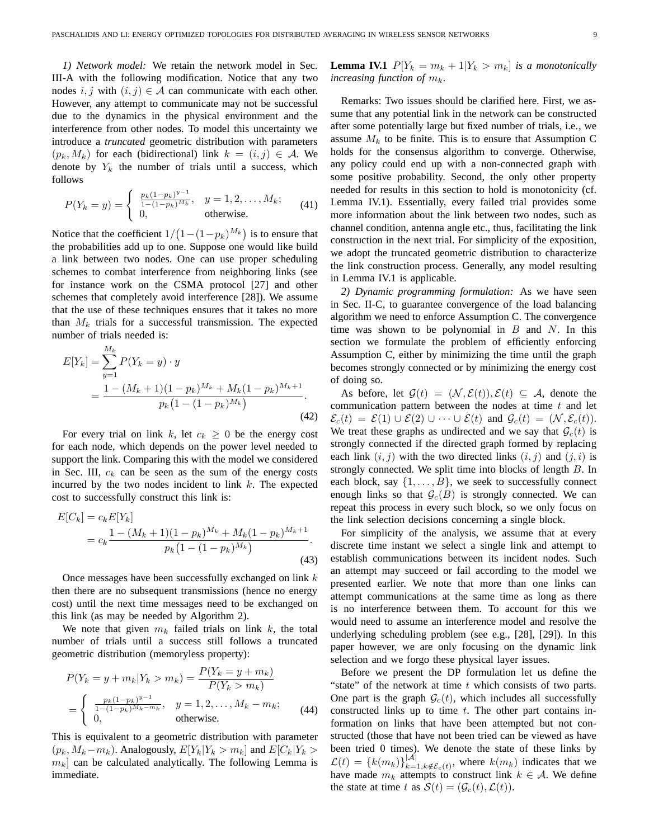*1) Network model:* We retain the network model in Sec. III-A with the following modification. Notice that any two nodes  $i, j$  with  $(i, j) \in A$  can communicate with each other. However, any attempt to communicate may not be successful due to the dynamics in the physical environment and the interference from other nodes. To model this uncertainty we introduce a *truncated* geometric distribution with parameters  $(p_k, M_k)$  for each (bidirectional) link  $k = (i, j) \in \mathcal{A}$ . We denote by  $Y_k$  the number of trials until a success, which follows

$$
P(Y_k = y) = \begin{cases} \frac{p_k(1-p_k)^{y-1}}{1-(1-p_k)^{M_k}}, & y = 1, 2, ..., M_k; \\ 0, & \text{otherwise.} \end{cases}
$$
(41)

Notice that the coefficient  $1/(1-(1-p_k)^{M_k})$  is to ensure that the probabilities add up to one. Suppose one would like build a link between two nodes. One can use proper scheduling schemes to combat interference from neighboring links (see for instance work on the CSMA protocol [27] and other schemes that completely avoid interference [28]). We assume that the use of these techniques ensures that it takes no more than  $M_k$  trials for a successful transmission. The expected number of trials needed is:

$$
E[Y_k] = \sum_{y=1}^{M_k} P(Y_k = y) \cdot y
$$
  
= 
$$
\frac{1 - (M_k + 1)(1 - p_k)^{M_k} + M_k(1 - p_k)^{M_k + 1}}{p_k(1 - (1 - p_k)^{M_k})}.
$$
 (42)

For every trial on link k, let  $c_k \geq 0$  be the energy cost for each node, which depends on the power level needed to support the link. Comparing this with the model we considered in Sec. III,  $c_k$  can be seen as the sum of the energy costs incurred by the two nodes incident to link  $k$ . The expected cost to successfully construct this link is:

$$
E[C_k] = c_k E[Y_k]
$$
  
=  $c_k \frac{1 - (M_k + 1)(1 - p_k)^{M_k} + M_k (1 - p_k)^{M_k + 1}}{p_k (1 - (1 - p_k)^{M_k})}$ . (43)

Once messages have been successfully exchanged on link k then there are no subsequent transmissions (hence no energy cost) until the next time messages need to be exchanged on this link (as may be needed by Algorithm 2).

We note that given  $m_k$  failed trials on link k, the total number of trials until a success still follows a truncated geometric distribution (memoryless property):

$$
P(Y_k = y + m_k | Y_k > m_k) = \frac{P(Y_k = y + m_k)}{P(Y_k > m_k)}
$$
  
= 
$$
\begin{cases} \frac{p_k(1-p_k)^{y-1}}{1-(1-p_k)^{M_k-m_k}}, & y = 1, 2, ..., M_k - m_k; \\ 0, & \text{otherwise.} \end{cases}
$$
(44)

This is equivalent to a geometric distribution with parameter  $(p_k, M_k-m_k)$ . Analogously,  $E[Y_k|Y_k > m_k]$  and  $E[C_k|Y_k > m_k]$  $m_k$ ] can be calculated analytically. The following Lemma is immediate.

**Lemma IV.1**  $P[Y_k = m_k + 1 | Y_k > m_k]$  *is a monotonically increasing function of*  $m_k$ .

Remarks: Two issues should be clarified here. First, we assume that any potential link in the network can be constructed after some potentially large but fixed number of trials, i.e., we assume  $M_k$  to be finite. This is to ensure that Assumption C holds for the consensus algorithm to converge. Otherwise, any policy could end up with a non-connected graph with some positive probability. Second, the only other property needed for results in this section to hold is monotonicity (cf. Lemma IV.1). Essentially, every failed trial provides some more information about the link between two nodes, such as channel condition, antenna angle etc., thus, facilitating the link construction in the next trial. For simplicity of the exposition, we adopt the truncated geometric distribution to characterize the link construction process. Generally, any model resulting in Lemma IV.1 is applicable.

*2) Dynamic programming formulation:* As we have seen in Sec. II-C, to guarantee convergence of the load balancing algorithm we need to enforce Assumption C. The convergence time was shown to be polynomial in  $B$  and  $N$ . In this section we formulate the problem of efficiently enforcing Assumption C, either by minimizing the time until the graph becomes strongly connected or by minimizing the energy cost of doing so.

As before, let  $\mathcal{G}(t) = (\mathcal{N}, \mathcal{E}(t)), \mathcal{E}(t) \subseteq \mathcal{A}$ , denote the communication pattern between the nodes at time  $t$  and let  $\mathcal{E}_c(t) = \mathcal{E}(1) \cup \mathcal{E}(2) \cup \cdots \cup \mathcal{E}(t)$  and  $\mathcal{G}_c(t) = (\mathcal{N}, \mathcal{E}_c(t))$ . We treat these graphs as undirected and we say that  $\mathcal{G}_c(t)$  is strongly connected if the directed graph formed by replacing each link  $(i, j)$  with the two directed links  $(i, j)$  and  $(j, i)$  is strongly connected. We split time into blocks of length B. In each block, say  $\{1, \ldots, B\}$ , we seek to successfully connect enough links so that  $\mathcal{G}_c(B)$  is strongly connected. We can repeat this process in every such block, so we only focus on the link selection decisions concerning a single block.

For simplicity of the analysis, we assume that at every discrete time instant we select a single link and attempt to establish communications between its incident nodes. Such an attempt may succeed or fail according to the model we presented earlier. We note that more than one links can attempt communications at the same time as long as there is no interference between them. To account for this we would need to assume an interference model and resolve the underlying scheduling problem (see e.g., [28], [29]). In this paper however, we are only focusing on the dynamic link selection and we forgo these physical layer issues.

Before we present the DP formulation let us define the "state" of the network at time  $t$  which consists of two parts. One part is the graph  $\mathcal{G}_c(t)$ , which includes all successfully constructed links up to time  $t$ . The other part contains information on links that have been attempted but not constructed (those that have not been tried can be viewed as have been tried 0 times). We denote the state of these links by  $\mathcal{L}(t) = \{k(m_k)\}_{k=1}^{|\mathcal{A}|}$  $\|A\|_{k=1, k \notin \mathcal{E}_c(t)}$ , where  $k(m_k)$  indicates that we have made  $m_k$  attempts to construct link  $k \in A$ . We define the state at time t as  $S(t) = (\mathcal{G}_c(t), \mathcal{L}(t)).$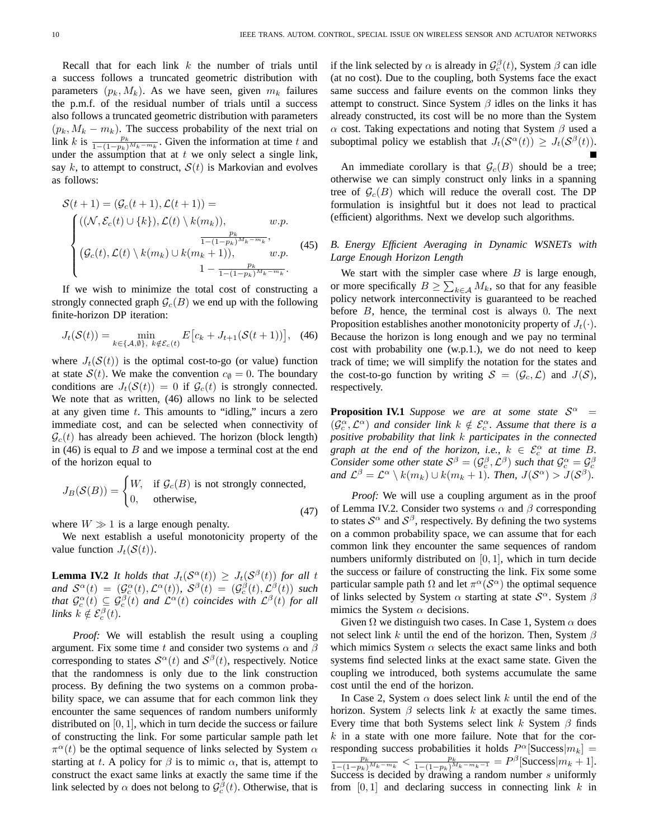Recall that for each link  $k$  the number of trials until a success follows a truncated geometric distribution with parameters  $(p_k, M_k)$ . As we have seen, given  $m_k$  failures the p.m.f. of the residual number of trials until a success also follows a truncated geometric distribution with parameters  $(p_k, M_k - m_k)$ . The success probability of the next trial on link k is  $\frac{p_k}{1-(1-p_k)^{M_k-m_k}}$ . Given the information at time t and under the assumption that at t we only select a single link, say k, to attempt to construct,  $S(t)$  is Markovian and evolves as follows:

$$
S(t+1) = (G_c(t+1), \mathcal{L}(t+1)) =
$$
  

$$
\begin{cases} ((\mathcal{N}, \mathcal{E}_c(t) \cup \{k\}), \mathcal{L}(t) \setminus k(m_k)), & w.p. \atop 1 - (1 - p_k)^{M_k - m_k}, \\ (\mathcal{G}_c(t), \mathcal{L}(t) \setminus k(m_k) \cup k(m_k+1)), & w.p. \atop 1 - \frac{p_k}{1 - (1 - p_k)^{M_k - m_k}}. \end{cases}
$$
(45)

If we wish to minimize the total cost of constructing a strongly connected graph  $\mathcal{G}_c(B)$  we end up with the following finite-horizon DP iteration:

$$
J_t(\mathcal{S}(t)) = \min_{k \in \{\mathcal{A}, \emptyset\}, \ k \notin \mathcal{E}_c(t)} E\big[c_k + J_{t+1}(\mathcal{S}(t+1))\big], \quad (46)
$$

where  $J_t(S(t))$  is the optimal cost-to-go (or value) function at state  $S(t)$ . We make the convention  $c_{\emptyset} = 0$ . The boundary conditions are  $J_t(S(t)) = 0$  if  $\mathcal{G}_c(t)$  is strongly connected. We note that as written, (46) allows no link to be selected at any given time  $t$ . This amounts to "idling," incurs a zero immediate cost, and can be selected when connectivity of  $\mathcal{G}_c(t)$  has already been achieved. The horizon (block length) in (46) is equal to  $B$  and we impose a terminal cost at the end of the horizon equal to

$$
J_B(\mathcal{S}(B)) = \begin{cases} W, & \text{if } \mathcal{G}_c(B) \text{ is not strongly connected,} \\ 0, & \text{otherwise,} \end{cases}
$$
 (47)

where  $W \gg 1$  is a large enough penalty.

We next establish a useful monotonicity property of the value function  $J_t(\mathcal{S}(t))$ .

**Lemma IV.2** *It holds that*  $J_t(S^{\alpha}(t)) \geq J_t(S^{\beta}(t))$  *for all t* and  $\mathcal{S}^{\alpha}(t) = (\mathcal{G}^{\alpha}_{c}(t),\mathcal{L}^{\alpha}(t)), \; \mathcal{S}^{\beta}(t) = (\mathcal{G}^{\beta}_{c}(t),\mathcal{L}^{\beta}_{c}(t))$  such that  $\mathcal{G}_c^{\alpha}(t) \subseteq \mathcal{G}_c^{\beta}(t)$  and  $\mathcal{L}^{\alpha}(t)$  coincides with  $\mathcal{L}^{\beta}(t)$  for all  $\text{links } k \notin \mathcal{E}_c^{\beta}(t)$ .

*Proof:* We will establish the result using a coupling argument. Fix some time t and consider two systems  $\alpha$  and  $\beta$ corresponding to states  $S^{\alpha}(t)$  and  $S^{\beta}(t)$ , respectively. Notice that the randomness is only due to the link construction process. By defining the two systems on a common probability space, we can assume that for each common link they encounter the same sequences of random numbers uniformly distributed on [0, 1], which in turn decide the success or failure of constructing the link. For some particular sample path let  $\pi^{\alpha}(t)$  be the optimal sequence of links selected by System  $\alpha$ starting at t. A policy for  $\beta$  is to mimic  $\alpha$ , that is, attempt to construct the exact same links at exactly the same time if the link selected by  $\alpha$  does not belong to  $\mathcal{G}_c^{\beta}(t)$ . Otherwise, that is

if the link selected by  $\alpha$  is already in  $\mathcal{G}_c^{\beta}(t)$ , System  $\beta$  can idle (at no cost). Due to the coupling, both Systems face the exact same success and failure events on the common links they attempt to construct. Since System  $\beta$  idles on the links it has already constructed, its cost will be no more than the System  $\alpha$  cost. Taking expectations and noting that System  $\beta$  used a suboptimal policy we establish that  $J_t(S^{\alpha}(t)) \geq J_t(S^{\beta}(t))$ .

An immediate corollary is that  $\mathcal{G}_c(B)$  should be a tree; otherwise we can simply construct only links in a spanning tree of  $\mathcal{G}_c(B)$  which will reduce the overall cost. The DP formulation is insightful but it does not lead to practical (efficient) algorithms. Next we develop such algorithms.

# *B. Energy Efficient Averaging in Dynamic WSNETs with Large Enough Horizon Length*

We start with the simpler case where  $B$  is large enough, or more specifically  $B \ge \sum_{k \in A} M_k$ , so that for any feasible policy network interconnectivity is guaranteed to be reached before  $B$ , hence, the terminal cost is always 0. The next Proposition establishes another monotonicity property of  $J_t(\cdot)$ . Because the horizon is long enough and we pay no terminal cost with probability one (w.p.1.), we do not need to keep track of time; we will simplify the notation for the states and the cost-to-go function by writing  $S = (\mathcal{G}_c, \mathcal{L})$  and  $J(\mathcal{S})$ , respectively.

**Proposition IV.1** *Suppose we are at some state*  $S^{\alpha}$  =  $(\mathcal{G}_c^{\alpha}, \mathcal{L}^{\alpha})$  and consider link  $k \notin \mathcal{E}_c^{\alpha}$ . Assume that there is a *positive probability that link* k *participates in the connected graph at the end of the horizon, i.e.,*  $k \in \mathcal{E}_c^{\alpha}$  *at time B. Consider some other state*  $S^{\beta} = (G_c^{\beta}, \mathcal{L}^{\beta})$  *such that*  $G_c^{\alpha} = G_c^{\beta}$  *and*  $\mathcal{L}^{\beta} = \mathcal{L}^{\alpha} \setminus k(m_k) \cup k(m_k + 1)$ *. Then,*  $J(S^{\alpha}) > J(S^{\beta})$ *.* 

*Proof:* We will use a coupling argument as in the proof of Lemma IV.2. Consider two systems  $\alpha$  and  $\beta$  corresponding to states  $S^{\alpha}$  and  $S^{\beta}$ , respectively. By defining the two systems on a common probability space, we can assume that for each common link they encounter the same sequences of random numbers uniformly distributed on [0, 1], which in turn decide the success or failure of constructing the link. Fix some some particular sample path  $\Omega$  and let  $\pi^{\alpha}(\mathcal{S}^{\alpha})$  the optimal sequence of links selected by System  $\alpha$  starting at state  $S^{\alpha}$ . System  $\beta$ mimics the System  $\alpha$  decisions.

Given  $\Omega$  we distinguish two cases. In Case 1, System  $\alpha$  does not select link k until the end of the horizon. Then, System  $\beta$ which mimics System  $\alpha$  selects the exact same links and both systems find selected links at the exact same state. Given the coupling we introduced, both systems accumulate the same cost until the end of the horizon.

In Case 2, System  $\alpha$  does select link k until the end of the horizon. System  $\beta$  selects link k at exactly the same times. Every time that both Systems select link k System  $\beta$  finds  $k$  in a state with one more failure. Note that for the corresponding success probabilities it holds  $P^{\alpha}$ [Success $|m_k] =$  $\frac{p_k}{1-(1-p_k)^{M_k-m_k}} < \frac{p_k}{1-(1-p_k)^{M_k-m_k-1}} = P^{\beta}[\textrm{Success}|m_k+1].$ Success is decided by drawing a random number  $s$  uniformly from  $[0, 1]$  and declaring success in connecting link k in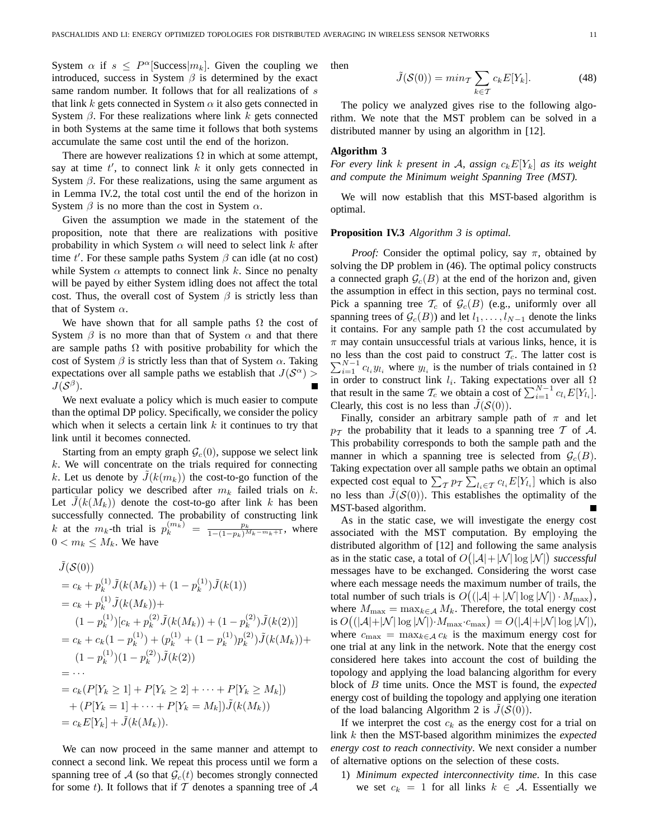System  $\alpha$  if  $s \leq P^{\alpha}$ [Success $|m_k|$ . Given the coupling we introduced, success in System  $\beta$  is determined by the exact same random number. It follows that for all realizations of s that link k gets connected in System  $\alpha$  it also gets connected in System  $\beta$ . For these realizations where link k gets connected in both Systems at the same time it follows that both systems accumulate the same cost until the end of the horizon.

There are however realizations  $\Omega$  in which at some attempt, say at time  $t'$ , to connect link  $k$  it only gets connected in System  $\beta$ . For these realizations, using the same argument as in Lemma IV.2, the total cost until the end of the horizon in System  $\beta$  is no more than the cost in System  $\alpha$ .

Given the assumption we made in the statement of the proposition, note that there are realizations with positive probability in which System  $\alpha$  will need to select link k after time  $t'$ . For these sample paths System  $\beta$  can idle (at no cost) while System  $\alpha$  attempts to connect link k. Since no penalty will be payed by either System idling does not affect the total cost. Thus, the overall cost of System  $\beta$  is strictly less than that of System  $\alpha$ .

We have shown that for all sample paths  $\Omega$  the cost of System  $\beta$  is no more than that of System  $\alpha$  and that there are sample paths  $\Omega$  with positive probability for which the cost of System  $\beta$  is strictly less than that of System  $\alpha$ . Taking expectations over all sample paths we establish that  $J(S^{\alpha})$  >  $J(\mathcal{S}^{\beta}).$ 

We next evaluate a policy which is much easier to compute than the optimal DP policy. Specifically, we consider the policy which when it selects a certain link  $k$  it continues to try that link until it becomes connected.

Starting from an empty graph  $\mathcal{G}_c(0)$ , suppose we select link  $k$ . We will concentrate on the trials required for connecting k. Let us denote by  $J(k(m_k))$  the cost-to-go function of the particular policy we described after  $m_k$  failed trials on k. Let  $J(k(M_k))$  denote the cost-to-go after link k has been successfully connected. The probability of constructing link k at the  $m_k$ -th trial is  $p_k^{(m_k)} = \frac{p_k}{1-(1-p_k)^{M_k-m_k+1}}$ , where  $0 < m_k \leq M_k$ . We have

$$
\tilde{J}(\mathcal{S}(0))
$$
\n
$$
= c_k + p_k^{(1)} \tilde{J}(k(M_k)) + (1 - p_k^{(1)}) \tilde{J}(k(1))
$$
\n
$$
= c_k + p_k^{(1)} \tilde{J}(k(M_k)) +
$$
\n
$$
(1 - p_k^{(1)}) [c_k + p_k^{(2)} \tilde{J}(k(M_k)) + (1 - p_k^{(2)}) \tilde{J}(k(2))]
$$
\n
$$
= c_k + c_k (1 - p_k^{(1)}) + (p_k^{(1)} + (1 - p_k^{(1)}) p_k^{(2)}) \tilde{J}(k(M_k)) +
$$
\n
$$
(1 - p_k^{(1)}) (1 - p_k^{(2)}) \tilde{J}(k(2))
$$
\n
$$
= \cdots
$$
\n
$$
= c_k (P[Y_k \ge 1] + P[Y_k \ge 2] + \cdots + P[Y_k \ge M_k])
$$
\n
$$
+ (P[Y_k = 1] + \cdots + P[Y_k = M_k]) \tilde{J}(k(M_k))
$$
\n
$$
= c_k E[Y_k] + \tilde{J}(k(M_k)).
$$

We can now proceed in the same manner and attempt to connect a second link. We repeat this process until we form a spanning tree of  $A$  (so that  $\mathcal{G}_c(t)$  becomes strongly connected for some t). It follows that if  $T$  denotes a spanning tree of  $A$  then

$$
\tilde{J}(\mathcal{S}(0)) = \min_{\mathcal{T}} \sum_{k \in \mathcal{T}} c_k E[Y_k]. \tag{48}
$$

The policy we analyzed gives rise to the following algorithm. We note that the MST problem can be solved in a distributed manner by using an algorithm in [12].

## **Algorithm 3**

For every link k present in A, assign  $c_k E[Y_k]$  as its weight *and compute the Minimum weight Spanning Tree (MST).*

We will now establish that this MST-based algorithm is optimal.

## **Proposition IV.3** *Algorithm 3 is optimal.*

*Proof:* Consider the optimal policy, say  $\pi$ , obtained by solving the DP problem in (46). The optimal policy constructs a connected graph  $\mathcal{G}_c(B)$  at the end of the horizon and, given the assumption in effect in this section, pays no terminal cost. Pick a spanning tree  $\mathcal{T}_c$  of  $\mathcal{G}_c(B)$  (e.g., uniformly over all spanning trees of  $\mathcal{G}_c(B)$  and let  $l_1, \ldots, l_{N-1}$  denote the links it contains. For any sample path  $\Omega$  the cost accumulated by  $\pi$  may contain unsuccessful trials at various links, hence, it is  $\sum_{i=1}^{N-1} c_{l_i} y_{l_i}$  where  $y_{l_i}$  is the number of trials contained in  $\Omega$ no less than the cost paid to construct  $\mathcal{T}_c$ . The latter cost is in order to construct link  $l_i$ . Taking expectations over all  $\Omega$ that result in the same  $\mathcal{T}_c$  we obtain a cost of  $\sum_{i=1}^{N-1} c_{l_i} E[Y_{l_i}]$ . Clearly, this cost is no less than  $J(\mathcal{S}(0))$ .

Finally, consider an arbitrary sample path of  $\pi$  and let  $p_{\mathcal{T}}$  the probability that it leads to a spanning tree T of A. This probability corresponds to both the sample path and the manner in which a spanning tree is selected from  $\mathcal{G}_c(B)$ . Taking expectation over all sample paths we obtain an optimal expected cost equal to  $\sum_{\mathcal{T}} p_{\mathcal{T}} \sum_{l_i \in \mathcal{T}} c_{l_i} E[Y_{l_i}]$  which is also no less than  $\tilde{J}(S(0))$ . This establishes the optimality of the MST-based algorithm.

As in the static case, we will investigate the energy cost associated with the MST computation. By employing the distributed algorithm of [12] and following the same analysis as in the static case, a total of  $O(|A| + |\mathcal{N}| \log |\mathcal{N}|)$  successful messages have to be exchanged. Considering the worst case where each message needs the maximum number of trails, the total number of such trials is  $O((|\mathcal{A}| + |\mathcal{N}| \log |\mathcal{N}|) \cdot M_{\max}),$ where  $M_{\text{max}} = \max_{k \in A} M_k$ . Therefore, the total energy cost is  $O\big((|\mathcal{A}|{+}|\mathcal{N}| \log |\mathcal{N}|) {\cdot} M_{\max}{\cdot} c_{\max}\big) = O(|\mathcal{A}|{+}|\mathcal{N}| \log |\mathcal{N}|),$ where  $c_{\text{max}} = \max_{k \in \mathcal{A}} c_k$  is the maximum energy cost for one trial at any link in the network. Note that the energy cost considered here takes into account the cost of building the topology and applying the load balancing algorithm for every block of B time units. Once the MST is found, the *expected* energy cost of building the topology and applying one iteration of the load balancing Algorithm 2 is  $\tilde{J}(\mathcal{S}(0))$ .

If we interpret the cost  $c_k$  as the energy cost for a trial on link k then the MST-based algorithm minimizes the *expected energy cost to reach connectivity*. We next consider a number of alternative options on the selection of these costs.

1) *Minimum expected interconnectivity time*. In this case we set  $c_k = 1$  for all links  $k \in A$ . Essentially we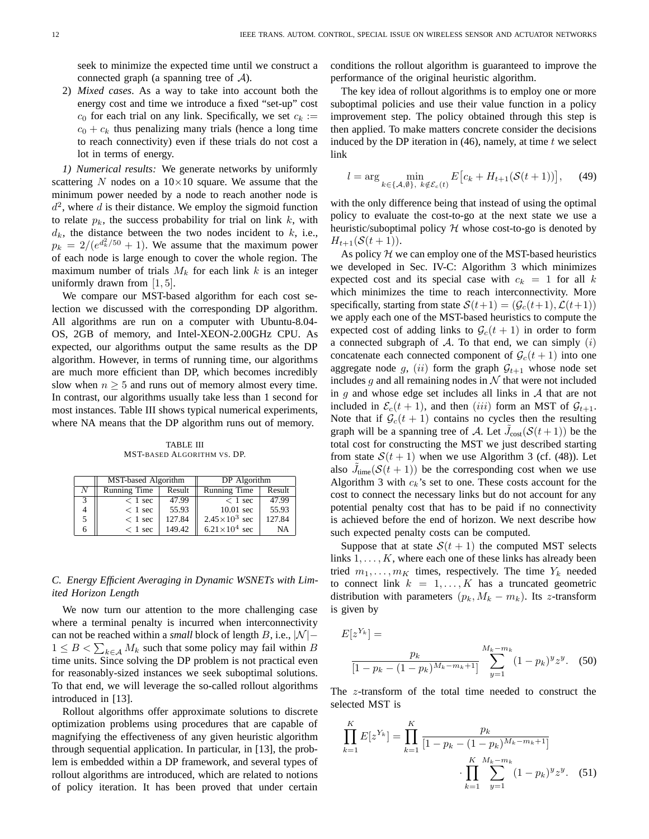seek to minimize the expected time until we construct a connected graph (a spanning tree of  $A$ ).

2) *Mixed cases*. As a way to take into account both the energy cost and time we introduce a fixed "set-up" cost  $c_0$  for each trial on any link. Specifically, we set  $c_k :=$  $c_0 + c_k$  thus penalizing many trials (hence a long time to reach connectivity) even if these trials do not cost a lot in terms of energy.

*1) Numerical results:* We generate networks by uniformly scattering N nodes on a  $10\times10$  square. We assume that the minimum power needed by a node to reach another node is  $d^2$ , where d is their distance. We employ the sigmoid function to relate  $p_k$ , the success probability for trial on link k, with  $d_k$ , the distance between the two nodes incident to  $k$ , i.e.,  $p_k = 2/(e^{d_k^2/50} + 1)$ . We assume that the maximum power of each node is large enough to cover the whole region. The maximum number of trials  $M_k$  for each link k is an integer uniformly drawn from  $[1, 5]$ .

We compare our MST-based algorithm for each cost selection we discussed with the corresponding DP algorithm. All algorithms are run on a computer with Ubuntu-8.04- OS, 2GB of memory, and Intel-XEON-2.00GHz CPU. As expected, our algorithms output the same results as the DP algorithm. However, in terms of running time, our algorithms are much more efficient than DP, which becomes incredibly slow when  $n \geq 5$  and runs out of memory almost every time. In contrast, our algorithms usually take less than 1 second for most instances. Table III shows typical numerical experiments, where NA means that the DP algorithm runs out of memory.

TABLE III MST-BASED ALGORITHM VS. DP.

| MST-based Algorithm |        | DP Algorithm           |        |  |
|---------------------|--------|------------------------|--------|--|
| Running Time        | Result | Running Time           | Result |  |
| $< 1$ sec           | 47.99  | $< 1$ sec              | 47.99  |  |
| $< 1$ sec           | 55.93  | $10.01 \text{ sec}$    | 55.93  |  |
| $< 1$ sec           | 127.84 | $2.45 \times 10^3$ sec | 127.84 |  |
| $< 1$ sec           | 149.42 | $6.21 \times 10^4$ sec | NA     |  |

## *C. Energy Efficient Averaging in Dynamic WSNETs with Limited Horizon Length*

We now turn our attention to the more challenging case where a terminal penalty is incurred when interconnectivity can not be reached within a *small* block of length B, i.e.,  $|\mathcal{N}|$  –  $1 \leq B < \sum_{k \in A} M_k$  such that some policy may fail within B time units. Since solving the DP problem is not practical even for reasonably-sized instances we seek suboptimal solutions. To that end, we will leverage the so-called rollout algorithms introduced in [13].

Rollout algorithms offer approximate solutions to discrete optimization problems using procedures that are capable of magnifying the effectiveness of any given heuristic algorithm through sequential application. In particular, in [13], the problem is embedded within a DP framework, and several types of rollout algorithms are introduced, which are related to notions of policy iteration. It has been proved that under certain conditions the rollout algorithm is guaranteed to improve the performance of the original heuristic algorithm.

The key idea of rollout algorithms is to employ one or more suboptimal policies and use their value function in a policy improvement step. The policy obtained through this step is then applied. To make matters concrete consider the decisions induced by the DP iteration in  $(46)$ , namely, at time t we select link

$$
l = \arg\min_{k \in \{\mathcal{A}, \emptyset\}, \ k \notin \mathcal{E}_c(t)} E\big[c_k + H_{t+1}(\mathcal{S}(t+1))\big], \quad (49)
$$

with the only difference being that instead of using the optimal policy to evaluate the cost-to-go at the next state we use a heuristic/suboptimal policy  $H$  whose cost-to-go is denoted by  $H_{t+1}(S(t+1)).$ 

As policy  $H$  we can employ one of the MST-based heuristics we developed in Sec. IV-C: Algorithm 3 which minimizes expected cost and its special case with  $c_k = 1$  for all k which minimizes the time to reach interconnectivity. More specifically, starting from state  $\mathcal{S}(t+1) = (\mathcal{G}_c(t+1), \mathcal{L}(t+1))$ we apply each one of the MST-based heuristics to compute the expected cost of adding links to  $\mathcal{G}_c(t+1)$  in order to form a connected subgraph of  $A$ . To that end, we can simply  $(i)$ concatenate each connected component of  $\mathcal{G}_c(t+1)$  into one aggregate node g, (ii) form the graph  $\mathcal{G}_{t+1}$  whose node set includes g and all remaining nodes in  $\mathcal N$  that were not included in g and whose edge set includes all links in  $A$  that are not included in  $\mathcal{E}_c(t+1)$ , and then *(iii)* form an MST of  $\mathcal{G}_{t+1}$ . Note that if  $\mathcal{G}_c(t+1)$  contains no cycles then the resulting graph will be a spanning tree of A. Let  $\tilde{J}_{\text{cost}}(S(t+1))$  be the total cost for constructing the MST we just described starting from state  $S(t + 1)$  when we use Algorithm 3 (cf. (48)). Let also  $\tilde{J}_{time}(\mathcal{S}(t+1))$  be the corresponding cost when we use Algorithm 3 with  $c_k$ 's set to one. These costs account for the cost to connect the necessary links but do not account for any potential penalty cost that has to be paid if no connectivity is achieved before the end of horizon. We next describe how such expected penalty costs can be computed.

Suppose that at state  $S(t + 1)$  the computed MST selects links  $1, \ldots, K$ , where each one of these links has already been tried  $m_1, \ldots, m_K$  times, respectively. The time  $Y_k$  needed to connect link  $k = 1, \ldots, K$  has a truncated geometric distribution with parameters  $(p_k, M_k - m_k)$ . Its z-transform is given by

$$
E[z^{Y_k}] =
$$
  

$$
\frac{p_k}{[1 - p_k - (1 - p_k)^{M_k - m_k + 1}]} \sum_{y=1}^{M_k - m_k} (1 - p_k)^y z^y.
$$
 (50)

The z-transform of the total time needed to construct the selected MST is

$$
\prod_{k=1}^{K} E[z^{Y_k}] = \prod_{k=1}^{K} \frac{p_k}{[1 - p_k - (1 - p_k)^{M_k - m_k + 1}]}
$$

$$
\cdot \prod_{k=1}^{K} \sum_{y=1}^{M_k - m_k} (1 - p_k)^y z^y. \quad (51)
$$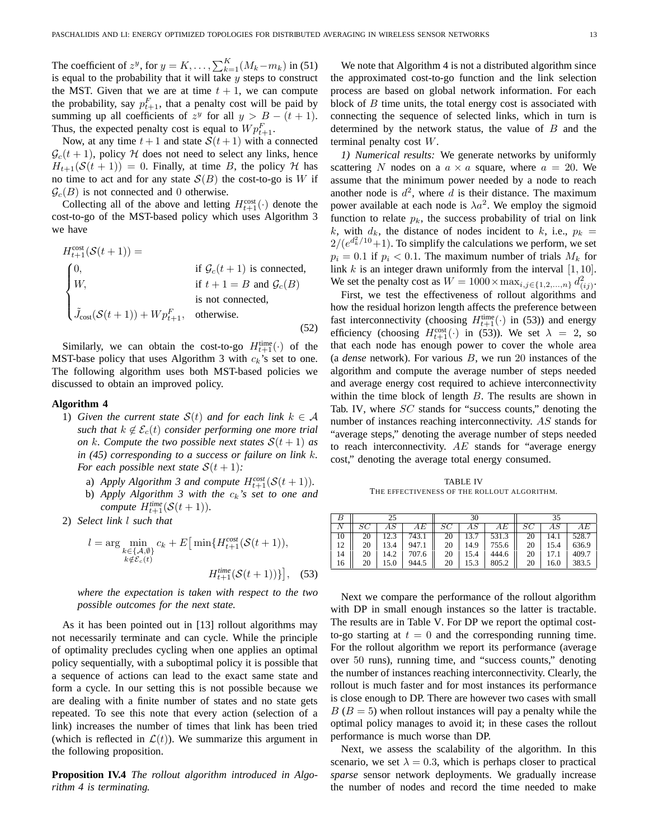The coefficient of  $z^y$ , for  $y = K, \dots, \sum_{k=1}^K (M_k - m_k)$  in (51) is equal to the probability that it will take  $y$  steps to construct the MST. Given that we are at time  $t + 1$ , we can compute the probability, say  $p_{t+1}^F$ , that a penalty cost will be paid by summing up all coefficients of  $z^y$  for all  $y > B - (t + 1)$ . Thus, the expected penalty cost is equal to  $W p_{t+1}^F$ .

Now, at any time  $t + 1$  and state  $S(t + 1)$  with a connected  $\mathcal{G}_c(t+1)$ , policy H does not need to select any links, hence  $H_{t+1}(S(t+1)) = 0$ . Finally, at time B, the policy H has no time to act and for any state  $S(B)$  the cost-to-go is W if  $\mathcal{G}_c(B)$  is not connected and 0 otherwise.

Collecting all of the above and letting  $H_{t+1}^{\text{cost}}(\cdot)$  denote the cost-to-go of the MST-based policy which uses Algorithm 3 we have

$$
H_{t+1}^{\text{cost}}(S(t+1)) =
$$
  
\n
$$
\begin{cases}\n0, & \text{if } \mathcal{G}_c(t+1) \text{ is connected,} \\
W, & \text{if } t+1 = B \text{ and } \mathcal{G}_c(B) \\
\vdots & \text{is not connected,} \\
\tilde{J}_{\text{cost}}(S(t+1)) + Wp_{t+1}^F, & \text{otherwise.} \n\end{cases}
$$
\n(52)

Similarly, we can obtain the cost-to-go  $H_{t+1}^{\text{time}}(\cdot)$  of the MST-base policy that uses Algorithm 3 with  $c_k$ 's set to one. The following algorithm uses both MST-based policies we discussed to obtain an improved policy.

#### **Algorithm 4**

- 1) *Given the current state*  $S(t)$  *and for each link*  $k \in A$ *such that*  $k \notin \mathcal{E}_c(t)$  *consider performing one more trial on* k. Compute the two possible next states  $S(t+1)$  as *in (45) corresponding to a success or failure on link* k*. For each possible next state*  $S(t + 1)$ *:* 
	- a) *Apply Algorithm 3 and compute*  $H_{t+1}^{cost}(S(t + 1))$ *.*
	- b) *Apply Algorithm 3 with the*  $c_k$ 's set to one and *compute*  $H_{t+1}^{time}(\mathcal{S}(t+1))$ *.*
- 2) *Select link* l *such that*

$$
l = \arg\min_{\substack{k \in \{\mathcal{A}, \emptyset\} \\ k \notin \mathcal{E}_c(t)}} c_k + E\big[\min\{H_{t+1}^{cost}(\mathcal{S}(t+1)),\\H_{t+1}^{time}(\mathcal{S}(t+1))\}\big], \quad (53)
$$

*where the expectation is taken with respect to the two possible outcomes for the next state.*

As it has been pointed out in [13] rollout algorithms may not necessarily terminate and can cycle. While the principle of optimality precludes cycling when one applies an optimal policy sequentially, with a suboptimal policy it is possible that a sequence of actions can lead to the exact same state and form a cycle. In our setting this is not possible because we are dealing with a finite number of states and no state gets repeated. To see this note that every action (selection of a link) increases the number of times that link has been tried (which is reflected in  $\mathcal{L}(t)$ ). We summarize this argument in the following proposition.

**Proposition IV.4** *The rollout algorithm introduced in Algorithm 4 is terminating.*

We note that Algorithm 4 is not a distributed algorithm since the approximated cost-to-go function and the link selection process are based on global network information. For each block of  $B$  time units, the total energy cost is associated with connecting the sequence of selected links, which in turn is determined by the network status, the value of  $B$  and the terminal penalty cost W.

*1) Numerical results:* We generate networks by uniformly scattering N nodes on a  $a \times a$  square, where  $a = 20$ . We assume that the minimum power needed by a node to reach another node is  $d^2$ , where d is their distance. The maximum power available at each node is  $\lambda a^2$ . We employ the sigmoid function to relate  $p_k$ , the success probability of trial on link k, with  $d_k$ , the distance of nodes incident to k, i.e.,  $p_k =$  $2/(e^{d_k^2/10}+1)$ . To simplify the calculations we perform, we set  $p_i = 0.1$  if  $p_i < 0.1$ . The maximum number of trials  $M_k$  for link  $k$  is an integer drawn uniformly from the interval  $[1, 10]$ . We set the penalty cost as  $W = 1000 \times \max_{i,j \in \{1,2,\ldots,n\}} d_{(ij)}^2$ .

First, we test the effectiveness of rollout algorithms and how the residual horizon length affects the preference between fast interconnectivity (choosing  $H_{t+1}^{time}(\cdot)$  in (53)) and energy efficiency (choosing  $H_{t+1}^{\text{cost}}(\cdot)$  in (53)). We set  $\lambda = 2$ , so that each node has enough power to cover the whole area (a *dense* network). For various B, we run 20 instances of the algorithm and compute the average number of steps needed and average energy cost required to achieve interconnectivity within the time block of length  $B$ . The results are shown in Tab. IV, where SC stands for "success counts," denoting the number of instances reaching interconnectivity. AS stands for "average steps," denoting the average number of steps needed to reach interconnectivity.  $AE$  stands for "average energy cost," denoting the average total energy consumed.

TABLE IV THE EFFECTIVENESS OF THE ROLLOUT ALGORITHM.

| Б  |    |      |       | 30 |      |       |    |      |       |
|----|----|------|-------|----|------|-------|----|------|-------|
|    |    |      | AЕ    |    |      |       |    |      | AЕ    |
| 10 | 20 |      | 743.1 | 20 |      | 531.3 | 20 | 14.1 | 528.7 |
| 12 | 20 | 13.4 | 947.1 | 20 | 14.9 | 755.6 | 20 | 15.4 | 636.9 |
| 14 | 20 | 14.2 | 707.6 | 20 | 15.4 | 444.6 | 20 |      | 409.7 |
| 16 | 20 | 15.0 | 944.5 | 20 | 15.3 | 805.2 | 20 | 16.0 | 383.5 |

Next we compare the performance of the rollout algorithm with DP in small enough instances so the latter is tractable. The results are in Table V. For DP we report the optimal costto-go starting at  $t = 0$  and the corresponding running time. For the rollout algorithm we report its performance (average over 50 runs), running time, and "success counts," denoting the number of instances reaching interconnectivity. Clearly, the rollout is much faster and for most instances its performance is close enough to DP. There are however two cases with small  $B(B = 5)$  when rollout instances will pay a penalty while the optimal policy manages to avoid it; in these cases the rollout performance is much worse than DP.

Next, we assess the scalability of the algorithm. In this scenario, we set  $\lambda = 0.3$ , which is perhaps closer to practical *sparse* sensor network deployments. We gradually increase the number of nodes and record the time needed to make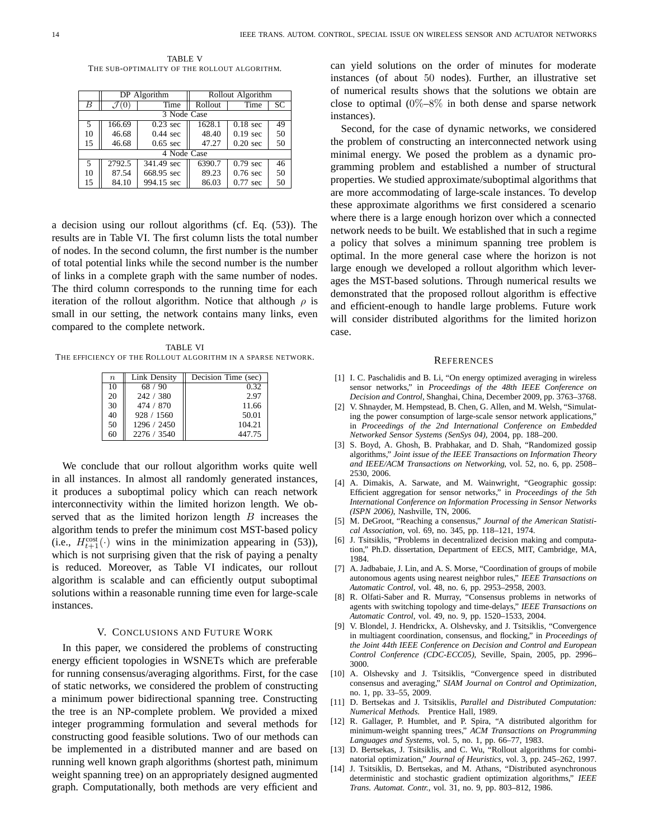TABLE V THE SUB-OPTIMALITY OF THE ROLLOUT ALGORITHM.

|             |                  | DP Algorithm       | Rollout Algorithm |                       |    |  |  |
|-------------|------------------|--------------------|-------------------|-----------------------|----|--|--|
| В           | $\mathcal{J}(0)$ | Time               | Rollout           | Time                  | SC |  |  |
|             | 3 Node Case      |                    |                   |                       |    |  |  |
| 5.          | 166.69           | $0.23$ sec         | 1628.1            | $\overline{0.18}$ sec | 49 |  |  |
| 10          | 46.68            | $0.44 \text{ sec}$ | 48.40             | $0.19 \text{ sec}$    | 50 |  |  |
| 15          | 46.68            | $0.65$ sec         | 47.27             | $0.20$ sec            | 50 |  |  |
| 4 Node Case |                  |                    |                   |                       |    |  |  |
| 5.          | 2792.5           | 341.49 sec         | 6390.7            | $0.79 \text{ sec}$    | 46 |  |  |
| 10          | 87.54            | 668.95 sec         | 89.23             | $0.76$ sec            | 50 |  |  |
| 15          | 84.10            | 994.15 sec         | 86.03             | $0.77 \text{ sec}$    | 50 |  |  |

a decision using our rollout algorithms (cf. Eq. (53)). The results are in Table VI. The first column lists the total number of nodes. In the second column, the first number is the number of total potential links while the second number is the number of links in a complete graph with the same number of nodes. The third column corresponds to the running time for each iteration of the rollout algorithm. Notice that although  $\rho$  is small in our setting, the network contains many links, even compared to the complete network.

TABLE VI THE EFFICIENCY OF THE ROLLOUT ALGORITHM IN A SPARSE NETWORK.

| $\boldsymbol{n}$ | Link Density | Decision Time (sec) |
|------------------|--------------|---------------------|
| 10               | 68/90        | 0.32                |
| 20               | 242 / 380    | 2.97                |
| 30               | 474 / 870    | 11.66               |
| 40               | 928 / 1560   | 50.01               |
| 50               | 1296 / 2450  | 104.21              |
| 60               | 2276 / 3540  | 447.75              |

We conclude that our rollout algorithm works quite well in all instances. In almost all randomly generated instances, it produces a suboptimal policy which can reach network interconnectivity within the limited horizon length. We observed that as the limited horizon length  $B$  increases the algorithm tends to prefer the minimum cost MST-based policy (i.e.,  $H_{t+1}^{\text{cost}}(\cdot)$  wins in the minimization appearing in (53)), which is not surprising given that the risk of paying a penalty is reduced. Moreover, as Table VI indicates, our rollout algorithm is scalable and can efficiently output suboptimal solutions within a reasonable running time even for large-scale instances.

### V. CONCLUSIONS AND FUTURE WORK

In this paper, we considered the problems of constructing energy efficient topologies in WSNETs which are preferable for running consensus/averaging algorithms. First, for the case of static networks, we considered the problem of constructing a minimum power bidirectional spanning tree. Constructing the tree is an NP-complete problem. We provided a mixed integer programming formulation and several methods for constructing good feasible solutions. Two of our methods can be implemented in a distributed manner and are based on running well known graph algorithms (shortest path, minimum weight spanning tree) on an appropriately designed augmented graph. Computationally, both methods are very efficient and can yield solutions on the order of minutes for moderate instances (of about 50 nodes). Further, an illustrative set of numerical results shows that the solutions we obtain are close to optimal  $(0\% - 8\%$  in both dense and sparse network instances).

Second, for the case of dynamic networks, we considered the problem of constructing an interconnected network using minimal energy. We posed the problem as a dynamic programming problem and established a number of structural properties. We studied approximate/suboptimal algorithms that are more accommodating of large-scale instances. To develop these approximate algorithms we first considered a scenario where there is a large enough horizon over which a connected network needs to be built. We established that in such a regime a policy that solves a minimum spanning tree problem is optimal. In the more general case where the horizon is not large enough we developed a rollout algorithm which leverages the MST-based solutions. Through numerical results we demonstrated that the proposed rollout algorithm is effective and efficient-enough to handle large problems. Future work will consider distributed algorithms for the limited horizon case.

#### **REFERENCES**

- [1] I. C. Paschalidis and B. Li, "On energy optimized averaging in wireless sensor networks," in *Proceedings of the 48th IEEE Conference on Decision and Control*, Shanghai, China, December 2009, pp. 3763–3768.
- [2] V. Shnayder, M. Hempstead, B. Chen, G. Allen, and M. Welsh, "Simulating the power consumption of large-scale sensor network applications," in *Proceedings of the 2nd International Conference on Embedded Networked Sensor Systems (SenSys 04)*, 2004, pp. 188–200.
- [3] S. Boyd, A. Ghosh, B. Prabhakar, and D. Shah, "Randomized gossip algorithms," *Joint issue of the IEEE Transactions on Information Theory and IEEE/ACM Transactions on Networking*, vol. 52, no. 6, pp. 2508– 2530, 2006.
- [4] A. Dimakis, A. Sarwate, and M. Wainwright, "Geographic gossip: Efficient aggregation for sensor networks," in *Proceedings of the 5th International Conference on Information Processing in Sensor Networks (ISPN 2006)*, Nashville, TN, 2006.
- [5] M. DeGroot, "Reaching a consensus," *Journal of the American Statistical Association*, vol. 69, no. 345, pp. 118–121, 1974.
- [6] J. Tsitsiklis, "Problems in decentralized decision making and computation," Ph.D. dissertation, Department of EECS, MIT, Cambridge, MA, 1984.
- [7] A. Jadbabaie, J. Lin, and A. S. Morse, "Coordination of groups of mobile autonomous agents using nearest neighbor rules," *IEEE Transactions on Automatic Control*, vol. 48, no. 6, pp. 2953–2958, 2003.
- [8] R. Olfati-Saber and R. Murray, "Consensus problems in networks of agents with switching topology and time-delays," *IEEE Transactions on Automatic Control*, vol. 49, no. 9, pp. 1520–1533, 2004.
- [9] V. Blondel, J. Hendrickx, A. Olshevsky, and J. Tsitsiklis, "Convergence in multiagent coordination, consensus, and flocking," in *Proceedings of the Joint 44th IEEE Conference on Decision and Control and European Control Conference (CDC-ECC05)*, Seville, Spain, 2005, pp. 2996– 3000.
- [10] A. Olshevsky and J. Tsitsiklis, "Convergence speed in distributed consensus and averaging," *SIAM Journal on Control and Optimization*, no. 1, pp. 33–55, 2009.
- [11] D. Bertsekas and J. Tsitsiklis, *Parallel and Distributed Computation: Numerical Methods*. Prentice Hall, 1989.
- [12] R. Gallager, P. Humblet, and P. Spira, "A distributed algorithm for minimum-weight spanning trees," *ACM Transactions on Programming Languages and Systems*, vol. 5, no. 1, pp. 66–77, 1983.
- [13] D. Bertsekas, J. Tsitsiklis, and C. Wu, "Rollout algorithms for combinatorial optimization," *Journal of Heuristics*, vol. 3, pp. 245–262, 1997.
- [14] J. Tsitsiklis, D. Bertsekas, and M. Athans, "Distributed asynchronous deterministic and stochastic gradient optimization algorithms," *IEEE Trans. Automat. Contr.*, vol. 31, no. 9, pp. 803–812, 1986.